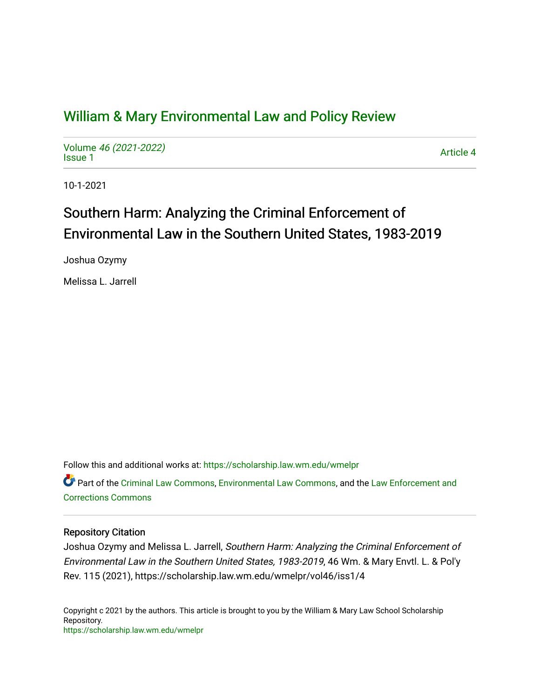# [William & Mary Environmental Law and Policy Review](https://scholarship.law.wm.edu/wmelpr)

Volume [46 \(2021-2022\)](https://scholarship.law.wm.edu/wmelpr/vol46)  volume 40 (2021-2022)<br>[Issue 1](https://scholarship.law.wm.edu/wmelpr/vol46/iss1)

10-1-2021

# Southern Harm: Analyzing the Criminal Enforcement of Environmental Law in the Southern United States, 1983-2019

Joshua Ozymy

Melissa L. Jarrell

Follow this and additional works at: [https://scholarship.law.wm.edu/wmelpr](https://scholarship.law.wm.edu/wmelpr?utm_source=scholarship.law.wm.edu%2Fwmelpr%2Fvol46%2Fiss1%2F4&utm_medium=PDF&utm_campaign=PDFCoverPages)

Part of the [Criminal Law Commons,](http://network.bepress.com/hgg/discipline/912?utm_source=scholarship.law.wm.edu%2Fwmelpr%2Fvol46%2Fiss1%2F4&utm_medium=PDF&utm_campaign=PDFCoverPages) [Environmental Law Commons](http://network.bepress.com/hgg/discipline/599?utm_source=scholarship.law.wm.edu%2Fwmelpr%2Fvol46%2Fiss1%2F4&utm_medium=PDF&utm_campaign=PDFCoverPages), and the [Law Enforcement and](http://network.bepress.com/hgg/discipline/854?utm_source=scholarship.law.wm.edu%2Fwmelpr%2Fvol46%2Fiss1%2F4&utm_medium=PDF&utm_campaign=PDFCoverPages)  [Corrections Commons](http://network.bepress.com/hgg/discipline/854?utm_source=scholarship.law.wm.edu%2Fwmelpr%2Fvol46%2Fiss1%2F4&utm_medium=PDF&utm_campaign=PDFCoverPages) 

# Repository Citation

Joshua Ozymy and Melissa L. Jarrell, Southern Harm: Analyzing the Criminal Enforcement of Environmental Law in the Southern United States, 1983-2019, 46 Wm. & Mary Envtl. L. & Pol'y Rev. 115 (2021), https://scholarship.law.wm.edu/wmelpr/vol46/iss1/4

Copyright c 2021 by the authors. This article is brought to you by the William & Mary Law School Scholarship Repository. <https://scholarship.law.wm.edu/wmelpr>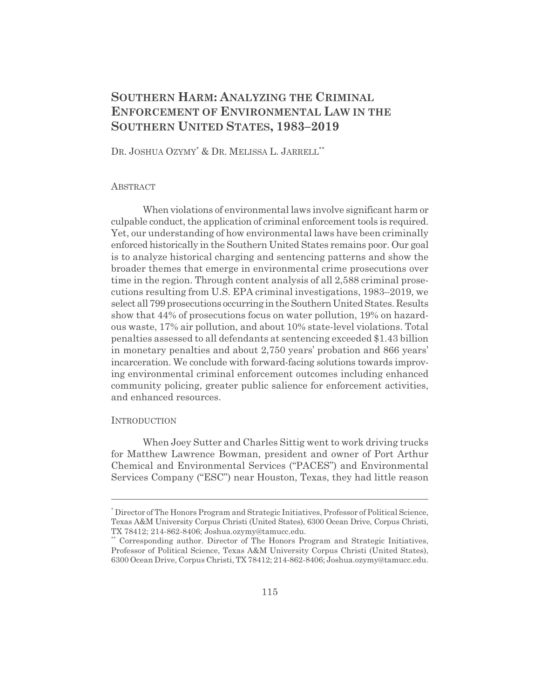# **SOUTHERN HARM: ANALYZING THE CRIMINAL ENFORCEMENT OF ENVIRONMENTAL LAW IN THE SOUTHERN UNITED STATES, 1983–2019**

DR. JOSHUA OZYMY\* & DR. MELISSA L. JARRELL\*\*

# **ABSTRACT**

When violations of environmental laws involve significant harm or culpable conduct, the application of criminal enforcement tools is required. Yet, our understanding of how environmental laws have been criminally enforced historically in the Southern United States remains poor. Our goal is to analyze historical charging and sentencing patterns and show the broader themes that emerge in environmental crime prosecutions over time in the region. Through content analysis of all 2,588 criminal prosecutions resulting from U.S. EPA criminal investigations, 1983–2019, we select all 799 prosecutions occurring in the Southern United States. Results show that 44% of prosecutions focus on water pollution, 19% on hazardous waste, 17% air pollution, and about 10% state-level violations. Total penalties assessed to all defendants at sentencing exceeded \$1.43 billion in monetary penalties and about 2,750 years' probation and 866 years' incarceration. We conclude with forward-facing solutions towards improving environmental criminal enforcement outcomes including enhanced community policing, greater public salience for enforcement activities, and enhanced resources.

# **INTRODUCTION**

When Joey Sutter and Charles Sittig went to work driving trucks for Matthew Lawrence Bowman, president and owner of Port Arthur Chemical and Environmental Services ("PACES") and Environmental Services Company ("ESC") near Houston, Texas, they had little reason

<sup>\*</sup> Director of The Honors Program and Strategic Initiatives, Professor of Political Science, Texas A&M University Corpus Christi (United States), 6300 Ocean Drive, Corpus Christi, TX 78412; 214-862-8406; Joshua.ozymy@tamucc.edu.

<sup>\*\*</sup> Corresponding author. Director of The Honors Program and Strategic Initiatives, Professor of Political Science, Texas A&M University Corpus Christi (United States), 6300 Ocean Drive, Corpus Christi, TX 78412; 214-862-8406; Joshua.ozymy@tamucc.edu.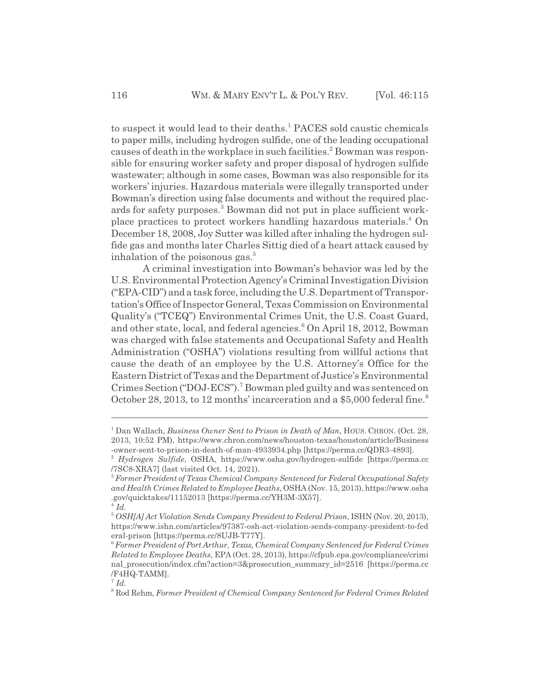to suspect it would lead to their deaths.<sup>1</sup> PACES sold caustic chemicals to paper mills, including hydrogen sulfide, one of the leading occupational causes of death in the workplace in such facilities.<sup>2</sup> Bowman was responsible for ensuring worker safety and proper disposal of hydrogen sulfide wastewater; although in some cases, Bowman was also responsible for its workers' injuries. Hazardous materials were illegally transported under Bowman's direction using false documents and without the required placards for safety purposes.<sup>3</sup> Bowman did not put in place sufficient workplace practices to protect workers handling hazardous materials.<sup>4</sup> On December 18, 2008, Joy Sutter was killed after inhaling the hydrogen sulfide gas and months later Charles Sittig died of a heart attack caused by inhalation of the poisonous gas. $5$ 

A criminal investigation into Bowman's behavior was led by the U.S. Environmental Protection Agency's Criminal Investigation Division ("EPA-CID") and a task force, including the U.S. Department of Transportation's Office of Inspector General, Texas Commission on Environmental Quality's ("TCEQ") Environmental Crimes Unit, the U.S. Coast Guard, and other state, local, and federal agencies.<sup>6</sup> On April 18, 2012, Bowman was charged with false statements and Occupational Safety and Health Administration ("OSHA") violations resulting from willful actions that cause the death of an employee by the U.S. Attorney's Office for the Eastern District of Texas and the Department of Justice's Environmental Crimes Section ("DOJ-ECS").<sup>7</sup> Bowman pled guilty and was sentenced on October 28, 2013, to 12 months' incarceration and a \$5,000 federal fine.<sup>8</sup>

<sup>&</sup>lt;sup>1</sup> Dan Wallach, *Business Owner Sent to Prison in Death of Man*, HOUS. CHRON. (Oct. 28, 2013, 10:52 PM), https://www.chron.com/news/houston-texas/houston/article/Business -owner-sent-to-prison-in-death-of-man-4933934.php [https://perma.cc/QDR3-4893].

<sup>2</sup> *Hydrogen Sulfide*, OSHA, https://www.osha.gov/hydrogen-sulfide [https://perma.cc /7SC8-XRA7] (last visited Oct. 14, 2021).

<sup>3</sup> *Former President of Texas Chemical Company Sentenced for Federal Occupational Safety and Health Crimes Related to Employee Deaths*, OSHA (Nov. 15, 2013), https://www.osha .gov/quicktakes/11152013 [https://perma.cc/YH3M-3X57].

 $^{4}$ *Id.* 

<sup>5</sup> *OSH[A] Act Violation Sends Company President to Federal Prison*, ISHN (Nov. 20, 2013), https://www.ishn.com/articles/97387-osh-act-violation-sends-company-president-to-fed eral-prison [https://perma.cc/8UJB-T77Y].

<sup>6</sup> *Former President of Port Arthur, Texas, Chemical Company Sentenced for Federal Crimes Related to Employee Deaths*, EPA (Oct. 28, 2013), https://cfpub.epa.gov/compliance/crimi nal\_prosecution/index.cfm?action=3&prosecution\_summary\_id=2516 [https://perma.cc /F4HQ-TAMM].

<sup>7</sup> *Id.*

<sup>8</sup> Rod Rehm, *Former President of Chemical Company Sentenced for Federal Crimes Related*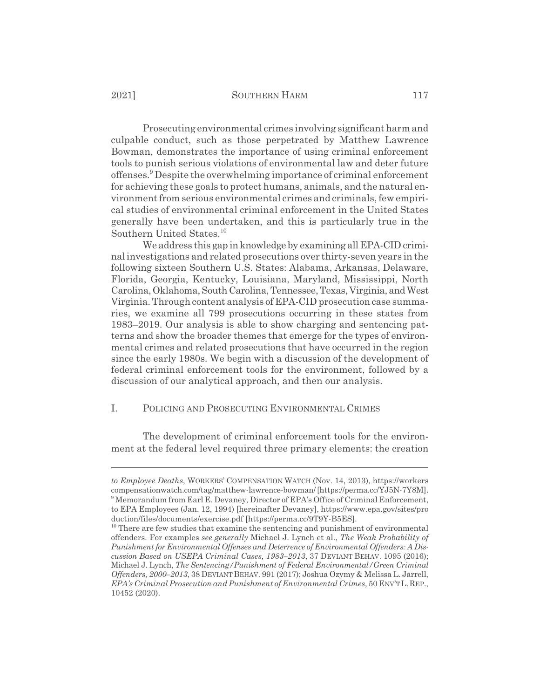Prosecuting environmental crimes involving significant harm and culpable conduct, such as those perpetrated by Matthew Lawrence Bowman, demonstrates the importance of using criminal enforcement tools to punish serious violations of environmental law and deter future offenses.<sup>9</sup> Despite the overwhelming importance of criminal enforcement for achieving these goals to protect humans, animals, and the natural environment from serious environmental crimes and criminals, few empirical studies of environmental criminal enforcement in the United States generally have been undertaken, and this is particularly true in the Southern United States.<sup>10</sup>

We address this gap in knowledge by examining all EPA-CID criminal investigations and related prosecutions over thirty-seven years in the following sixteen Southern U.S. States: Alabama, Arkansas, Delaware, Florida, Georgia, Kentucky, Louisiana, Maryland, Mississippi, North Carolina, Oklahoma, South Carolina, Tennessee, Texas, Virginia, and West Virginia. Through content analysis of EPA-CID prosecution case summaries, we examine all 799 prosecutions occurring in these states from 1983–2019. Our analysis is able to show charging and sentencing patterns and show the broader themes that emerge for the types of environmental crimes and related prosecutions that have occurred in the region since the early 1980s. We begin with a discussion of the development of federal criminal enforcement tools for the environment, followed by a discussion of our analytical approach, and then our analysis.

# I. POLICING AND PROSECUTING ENVIRONMENTAL CRIMES

The development of criminal enforcement tools for the environment at the federal level required three primary elements: the creation

*to Employee Deaths*, WORKERS' COMPENSATION WATCH (Nov. 14, 2013), https://workers compensationwatch.com/tag/matthew-lawrence-bowman/ [https://perma.cc/YJ5N-7Y8M]. <sup>9</sup> Memorandum from Earl E. Devaney, Director of EPA's Office of Criminal Enforcement, to EPA Employees (Jan. 12, 1994) [hereinafter Devaney], https://www.epa.gov/sites/pro duction/files/documents/exercise.pdf [https://perma.cc/9T9Y-B5ES].

<sup>&</sup>lt;sup>10</sup> There are few studies that examine the sentencing and punishment of environmental offenders. For examples *see generally* Michael J. Lynch et al., *The Weak Probability of Punishment for Environmental Offenses and Deterrence of Environmental Offenders: A Discussion Based on USEPA Criminal Cases, 1983–2013*, 37 DEVIANT BEHAV. 1095 (2016); Michael J. Lynch, *The Sentencing/Punishment of Federal Environmental/Green Criminal* Offenders, 2000–2013, 38 DEVIANT BEHAV. 991 (2017); Joshua Ozymy & Melissa L. Jarrell, *EPA's Criminal Prosecution and Punishment of Environmental Crimes*, 50 ENV'TL.REP., 10452 (2020).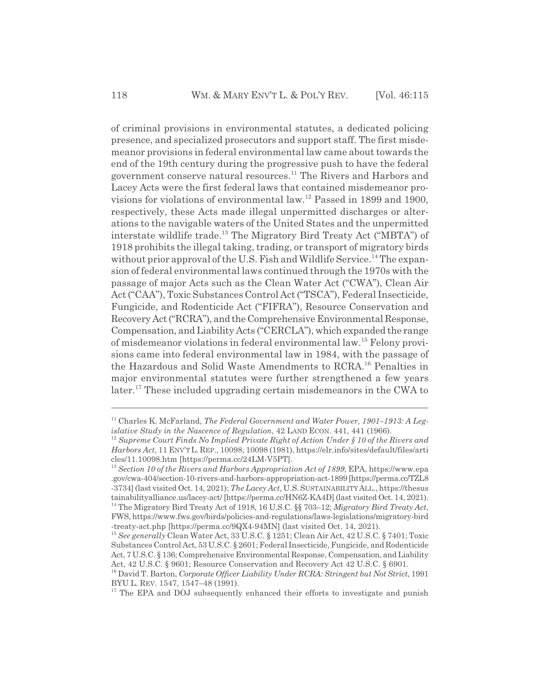of criminal provisions in environmental statutes, a dedicated policing presence, and specialized prosecutors and support staff. The first misdemeanor provisions in federal environmental law came about towards the end of the 19th century during the progressive push to have the federal government conserve natural resources.<sup>11</sup> The Rivers and Harbors and Lacey Acts were the first federal laws that contained misdemeanor provisions for violations of environmental law.12 Passed in 1899 and 1900, respectively, these Acts made illegal unpermitted discharges or alterations to the navigable waters of the United States and the unpermitted interstate wildlife trade.13 The Migratory Bird Treaty Act ("MBTA") of 1918 prohibits the illegal taking, trading, or transport of migratory birds without prior approval of the U.S. Fish and Wildlife Service.<sup>14</sup> The expansion of federal environmental laws continued through the 1970s with the passage of major Acts such as the Clean Water Act ("CWA"), Clean Air Act ("CAA"), Toxic Substances Control Act ("TSCA"), Federal Insecticide, Fungicide, and Rodenticide Act ("FIFRA"), Resource Conservation and Recovery Act ("RCRA"), and the Comprehensive Environmental Response, Compensation, and Liability Acts ("CERCLA"), which expanded the range of misdemeanor violations in federal environmental law.15 Felony provisions came into federal environmental law in 1984, with the passage of the Hazardous and Solid Waste Amendments to RCRA.<sup>16</sup> Penalties in major environmental statutes were further strengthened a few years later.<sup>17</sup> These included upgrading certain misdemeanors in the CWA to

<sup>11</sup> Charles K. McFarland, *The Federal Government and Water Power, 1901–1913: A Legislative Study in the Nascence of Regulation*, 42 LAND ECON. 441, 441 (1966).

<sup>12</sup> *Supreme Court Finds No Implied Private Right of Action Under § 10 of the Rivers and Harbors Act*, 11 ENV'TL.REP., 10098, 10098 (1981), https://elr.info/sites/default/files/arti cles/11.10098.htm [https://perma.cc/24LM-V5PT].

<sup>13</sup> *Section 10 of the Rivers and Harbors Appropriation Act of 1899*, EPA, https://www.epa .gov/cwa-404/section-10-rivers-and-harbors-appropriation-act-1899 [https://perma.cc/TZL8 -3734] (last visited Oct. 14, 2021); *The Lacey Act*, U.S.SUSTAINABILITYALL., https://thesus tainabilityalliance.us/lacey-act/ [https://perma.cc/HN6Z-KA4D] (last visited Oct. 14, 2021). 14 The Migratory Bird Treaty Act of 1918, 16 U.S.C. §§ 703–12; *Migratory Bird Treaty Act*, FWS, https://www.fws.gov/birds/policies-and-regulations/laws-legislations/migratory-bird -treaty-act.php [https://perma.cc/9QX4-94MN] (last visited Oct. 14, 2021).

<sup>15</sup> *See generally* Clean Water Act, 33 U.S.C. § 1251; Clean Air Act, 42 U.S.C. § 7401; Toxic Substances Control Act, 53 U.S.C. § 2601; Federal Insecticide, Fungicide, and Rodenticide Act, 7 U.S.C. § 136; Comprehensive Environmental Response, Compensation, and Liability Act, 42 U.S.C. § 9601; Resource Conservation and Recovery Act 42 U.S.C. § 6901.

<sup>16</sup> David T. Barton, *Corporate Officer Liability Under RCRA: Stringent but Not Strict*, 1991 BYU L. REV. 1547, 1547–48 (1991).

 $17$  The EPA and DOJ subsequently enhanced their efforts to investigate and punish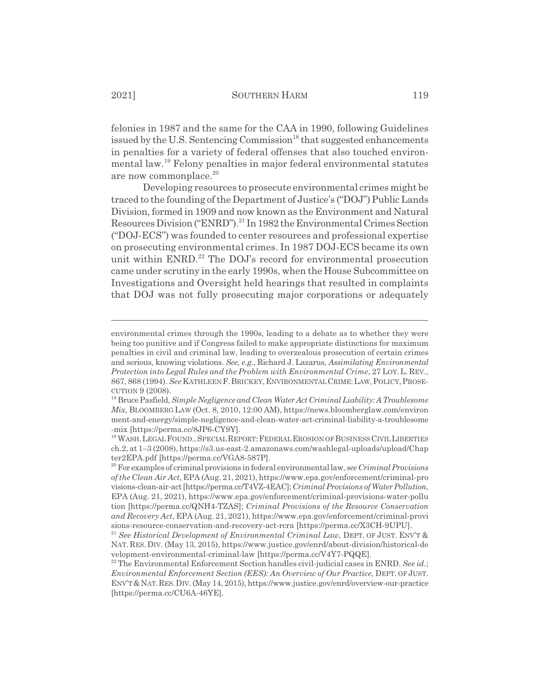felonies in 1987 and the same for the CAA in 1990, following Guidelines issued by the U.S. Sentencing Commission<sup>18</sup> that suggested enhancements in penalties for a variety of federal offenses that also touched environmental law.19 Felony penalties in major federal environmental statutes are now commonplace.<sup>20</sup>

Developing resources to prosecute environmental crimes might be traced to the founding of the Department of Justice's ("DOJ") Public Lands Division, formed in 1909 and now known as the Environment and Natural Resources Division ("ENRD").<sup>21</sup> In 1982 the Environmental Crimes Section ("DOJ-ECS") was founded to center resources and professional expertise on prosecuting environmental crimes. In 1987 DOJ-ECS became its own unit within  $ENRD<sup>22</sup>$  The DOJ's record for environmental prosecution came under scrutiny in the early 1990s, when the House Subcommittee on Investigations and Oversight held hearings that resulted in complaints that DOJ was not fully prosecuting major corporations or adequately

environmental crimes through the 1990s, leading to a debate as to whether they were being too punitive and if Congress failed to make appropriate distinctions for maximum penalties in civil and criminal law, leading to overzealous prosecution of certain crimes and serious, knowing violations. *See, e.g.*, Richard J. Lazarus, *Assimilating Environmental Protection into Legal Rules and the Problem with Environmental Crime*, 27 LOY. L. REV., 867, 868 (1994). *See* KATHLEEN F.BRICKEY,ENVIRONMENTALCRIME:LAW,POLICY,PROSE-CUTION 9 (2008).

<sup>18</sup> Bruce Pasfield, *Simple Negligence and Clean Water Act Criminal Liability: A Troublesome Mix*, BLOOMBERG LAW (Oct. 8, 2010, 12:00 AM), https://news.bloomberglaw.com/environ ment-and-energy/simple-negligence-and-clean-water-act-criminal-liability-a-troublesome -mix [https://perma.cc/8JP6-CY9Y].

<sup>&</sup>lt;sup>19</sup> WASH. LEGAL FOUND., SPECIAL REPORT: FEDERAL EROSION OF BUSINESS CIVIL LIBERTIES ch.2, at 1–3 (2008), https://s3.us-east-2.amazonaws.com/washlegal-uploads/upload/Chap ter2EPA.pdf [https://perma.cc/VGA8-587P].

<sup>20</sup> For examples of criminal provisions in federal environmental law, *see Criminal Provisions of the Clean Air Act*, EPA (Aug. 21, 2021), https://www.epa.gov/enforcement/criminal-pro visions-clean-air-act [https://perma.cc/T4VZ-4EAC]; *Criminal Provisions of Water Pollution*, EPA (Aug. 21, 2021), https://www.epa.gov/enforcement/criminal-provisions-water-pollu tion [https://perma.cc/QNH4-TZAS]; *Criminal Provisions of the Resource Conservation and Recovery Act*, EPA (Aug. 21, 2021), https://www.epa.gov/enforcement/criminal-provi sions-resource-conservation-and-recovery-act-rcra [https://perma.cc/X3CH-9UPU].

<sup>&</sup>lt;sup>21</sup> See Historical Development of Environmental Criminal Law, DEPT. OF JUST. ENV'T & NAT. RES. DIV. (May 13, 2015), https://www.justice.gov/enrd/about-division/historical-de velopment-environmental-criminal-law [https://perma.cc/V4Y7-PQQE].

<sup>&</sup>lt;sup>22</sup> The Environmental Enforcement Section handles civil-judicial cases in ENRD. See id.; *Environmental Enforcement Section (EES): An Overview of Our Practice*, DEPT. OF JUST. ENV'T&NAT.RES.DIV. (May 14, 2015), https://www.justice.gov/enrd/overview-our-practice [https://perma.cc/CU6A-46YE].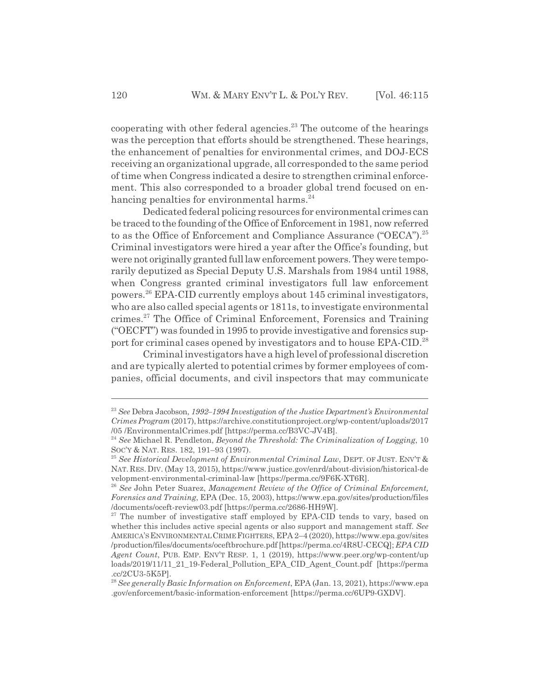cooperating with other federal agencies. $23$  The outcome of the hearings was the perception that efforts should be strengthened. These hearings, the enhancement of penalties for environmental crimes, and DOJ-ECS receiving an organizational upgrade, all corresponded to the same period of time when Congress indicated a desire to strengthen criminal enforcement. This also corresponded to a broader global trend focused on enhancing penalties for environmental harms. $^{24}$ 

Dedicated federal policing resources for environmental crimes can be traced to the founding of the Office of Enforcement in 1981, now referred to as the Office of Enforcement and Compliance Assurance ("OECA").<sup>25</sup> Criminal investigators were hired a year after the Office's founding, but were not originally granted full law enforcement powers. They were temporarily deputized as Special Deputy U.S. Marshals from 1984 until 1988, when Congress granted criminal investigators full law enforcement powers.26 EPA-CID currently employs about 145 criminal investigators, who are also called special agents or 1811s, to investigate environmental crimes.27 The Office of Criminal Enforcement, Forensics and Training ("OECFT") was founded in 1995 to provide investigative and forensics support for criminal cases opened by investigators and to house EPA-CID.28

Criminal investigators have a high level of professional discretion and are typically alerted to potential crimes by former employees of companies, official documents, and civil inspectors that may communicate

<sup>23</sup> *See* Debra Jacobson, *1992–1994 Investigation of the Justice Department's Environmental Crimes Program* (2017), https://archive.constitutionproject.org/wp-content/uploads/2017 /05 /EnvironmentalCrimes.pdf [https://perma.cc/B3VC-JV4B].

<sup>24</sup> *See* Michael R. Pendleton, *Beyond the Threshold: The Criminalization of Logging*, 10 SOC'Y & NAT. RES. 182, 191–93 (1997).

<sup>25</sup> *See Historical Development of Environmental Criminal Law*, DEPT. OF JUST. ENV'T & NAT. RES. DIV. (May 13, 2015), https://www.justice.gov/enrd/about-division/historical-de velopment-environmental-criminal-law [https://perma.cc/9F6K-XT6R].

<sup>26</sup> *See* John Peter Suarez, *Management Review of the Office of Criminal Enforcement, Forensics and Training*, EPA (Dec. 15, 2003), https://www.epa.gov/sites/production/files /documents/oceft-review03.pdf [https://perma.cc/2686-HH9W].

<sup>&</sup>lt;sup>27</sup> The number of investigative staff employed by EPA-CID tends to vary, based on whether this includes active special agents or also support and management staff. *See* AMERICA'SENVIRONMENTALCRIMEFIGHTERS, EPA 2–4 (2020), https://www.epa.gov/sites /production/files/documents/oceftbrochure.pdf [https://perma.cc/4R8U-CECQ]; *EPA CID Agent Count*, PUB. EMP. ENV'T RESP. 1, 1 (2019), https://www.peer.org/wp-content/up loads/2019/11/11\_21\_19-Federal\_Pollution\_EPA\_CID\_Agent\_Count.pdf [https://perma .cc/2CU3-5K5P].

<sup>28</sup> *See generally Basic Information on Enforcement*, EPA (Jan. 13, 2021), https://www.epa .gov/enforcement/basic-information-enforcement [https://perma.cc/6UP9-GXDV].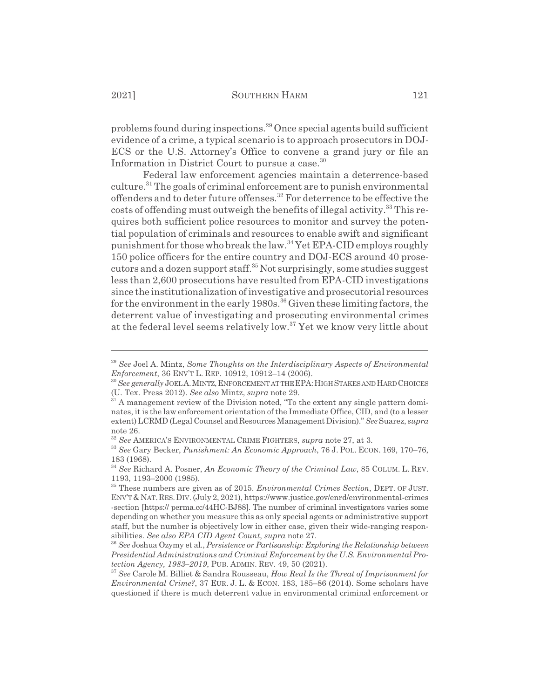problems found during inspections.29 Once special agents build sufficient evidence of a crime, a typical scenario is to approach prosecutors in DOJ-ECS or the U.S. Attorney's Office to convene a grand jury or file an Information in District Court to pursue a case.<sup>30</sup>

Federal law enforcement agencies maintain a deterrence-based  $cutture.<sup>31</sup> The goals of criminal enforcement are to punish environmental$ offenders and to deter future offenses.<sup>32</sup> For deterrence to be effective the costs of offending must outweigh the benefits of illegal activity.<sup>33</sup> This requires both sufficient police resources to monitor and survey the potential population of criminals and resources to enable swift and significant punishment for those who break the law.<sup>34</sup> Yet EPA-CID employs roughly 150 police officers for the entire country and DOJ-ECS around 40 prosecutors and a dozen support staff.35 Not surprisingly, some studies suggest less than 2,600 prosecutions have resulted from EPA-CID investigations since the institutionalization of investigative and prosecutorial resources for the environment in the early  $1980s$ .<sup>36</sup> Given these limiting factors, the deterrent value of investigating and prosecuting environmental crimes at the federal level seems relatively low.37 Yet we know very little about

<sup>29</sup> *See* Joel A. Mintz, *Some Thoughts on the Interdisciplinary Aspects of Environmental Enforcement*, 36 ENV'T L. REP. 10912, 10912–14 (2006).

<sup>&</sup>lt;sup>30</sup> See generally JOELA. MINTZ, ENFORCEMENT AT THE EPA: HIGH STAKES AND HARD CHOICES (U. Tex. Press 2012). *See also* Mintz, *supra* note 29.

<sup>&</sup>lt;sup>31</sup> A management review of the Division noted, "To the extent any single pattern dominates, it is the law enforcement orientation of the Immediate Office, CID, and (to a lesser extent) LCRMD (Legal Counsel and Resources Management Division)." *See* Suarez, *supra* note 26.

<sup>32</sup> *See* AMERICA'S ENVIRONMENTAL CRIME FIGHTERS, *supra* note 27, at 3.

<sup>33</sup> *See* Gary Becker, *Punishment: An Economic Approach*, 76 J. POL. ECON. 169, 170–76, 183 (1968).

<sup>34</sup> *See* Richard A. Posner, *An Economic Theory of the Criminal Law*, 85 COLUM. L. REV. 1193, 1193–2000 (1985).

<sup>35</sup> These numbers are given as of 2015. *Environmental Crimes Section*, DEPT. OF JUST. ENV'T&NAT.RES.DIV. (July 2, 2021), https://www.justice.gov/enrd/environmental-crimes -section [https:// perma.cc/44HC-BJ88]. The number of criminal investigators varies some depending on whether you measure this as only special agents or administrative support staff, but the number is objectively low in either case, given their wide-ranging responsibilities. *See also EPA CID Agent Count*, *supra* note 27.

<sup>36</sup> *See* Joshua Ozymy et al., *Persistence or Partisanship: Exploring the Relationship between Presidential Administrations and Criminal Enforcement by the U.S. Environmental Protection Agency, 1983–2019*, PUB. ADMIN. REV. 49, 50 (2021).

<sup>37</sup> *See* Carole M. Billiet & Sandra Rousseau, *How Real Is the Threat of Imprisonment for Environmental Crime?*, 37 EUR. J. L. & ECON. 183, 185–86 (2014). Some scholars have questioned if there is much deterrent value in environmental criminal enforcement or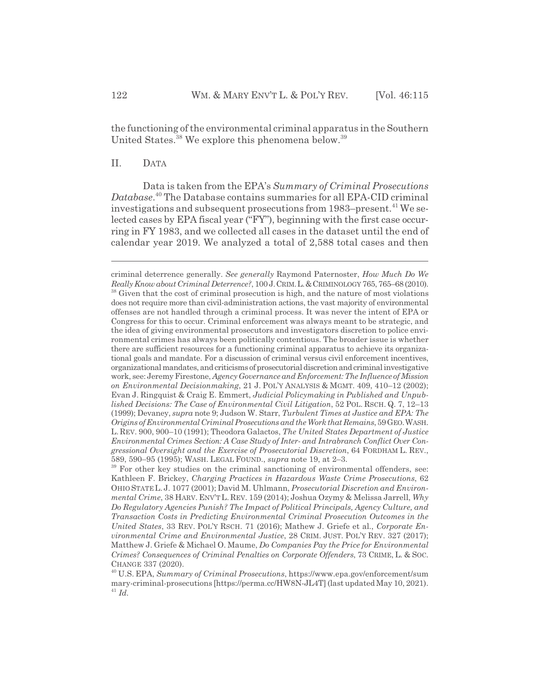the functioning of the environmental criminal apparatus in the Southern United States.<sup>38</sup> We explore this phenomena below.<sup>39</sup>

## II. DATA

Data is taken from the EPA's *Summary of Criminal Prosecutions Database*. 40 The Database contains summaries for all EPA-CID criminal investigations and subsequent prosecutions from 1983–present.<sup>41</sup> We selected cases by EPA fiscal year ("FY"), beginning with the first case occurring in FY 1983, and we collected all cases in the dataset until the end of calendar year 2019. We analyzed a total of 2,588 total cases and then

criminal deterrence generally. *See generally* Raymond Paternoster, *How Much Do We Really Know about Criminal Deterrence?*, 100 J.CRIM.L.&CRIMINOLOGY 765, 765–68 (2010). <sup>38</sup> Given that the cost of criminal prosecution is high, and the nature of most violations does not require more than civil-administration actions, the vast majority of environmental offenses are not handled through a criminal process. It was never the intent of EPA or Congress for this to occur. Criminal enforcement was always meant to be strategic, and the idea of giving environmental prosecutors and investigators discretion to police environmental crimes has always been politically contentious. The broader issue is whether there are sufficient resources for a functioning criminal apparatus to achieve its organizational goals and mandate. For a discussion of criminal versus civil enforcement incentives, organizational mandates, and criticisms of prosecutorial discretion and criminal investigative work, see: Jeremy Firestone, *Agency Governance and Enforcement: The Influence of Mission on Environmental Decisionmaking*, 21 J. POL'Y ANALYSIS & MGMT. 409, 410–12 (2002); Evan J. Ringquist & Craig E. Emmert, *Judicial Policymaking in Published and Unpublished Decisions: The Case of Environmental Civil Litigation*, 52 POL. RSCH. Q. 7, 12–13 (1999); Devaney, *supra* note 9; Judson W. Starr, *Turbulent Times at Justice and EPA: The Origins of Environmental Criminal Prosecutions and the Work that Remains*, 59 GEO.WASH. L. REV. 900, 900–10 (1991); Theodora Galactos, *The United States Department of Justice Environmental Crimes Section: A Case Study of Inter- and Intrabranch Conflict Over Congressional Oversight and the Exercise of Prosecutorial Discretion*, 64 FORDHAM L. REV., 589, 590–95 (1995); WASH. LEGAL FOUND., *supra* note 19, at 2–3.

<sup>&</sup>lt;sup>39</sup> For other key studies on the criminal sanctioning of environmental offenders, see: Kathleen F. Brickey, *Charging Practices in Hazardous Waste Crime Prosecutions*, 62 OHIO STATE L. J. 1077 (2001); David M. Uhlmann, *Prosecutorial Discretion and Environmental Crime*, 38 HARV. ENV'T L. REV. 159 (2014); Joshua Ozymy & Melissa Jarrell, *Why Do Regulatory Agencies Punish? The Impact of Political Principals, Agency Culture, and Transaction Costs in Predicting Environmental Criminal Prosecution Outcomes in the United States*, 33 REV. POL'Y RSCH. 71 (2016); Mathew J. Griefe et al., *Corporate Environmental Crime and Environmental Justice*, 28 CRIM. JUST. POL'Y REV. 327 (2017); Matthew J. Griefe & Michael O. Maume, *Do Companies Pay the Price for Environmental Crimes? Consequences of Criminal Penalties on Corporate Offenders*, 73 CRIME, L. & SOC. CHANGE 337 (2020).

<sup>40</sup> U.S. EPA, *Summary of Criminal Prosecutions*, https://www.epa.gov/enforcement/sum mary-criminal-prosecutions [https://perma.cc/HW8N-JL4T] (last updated May 10, 2021). <sup>41</sup> *Id.*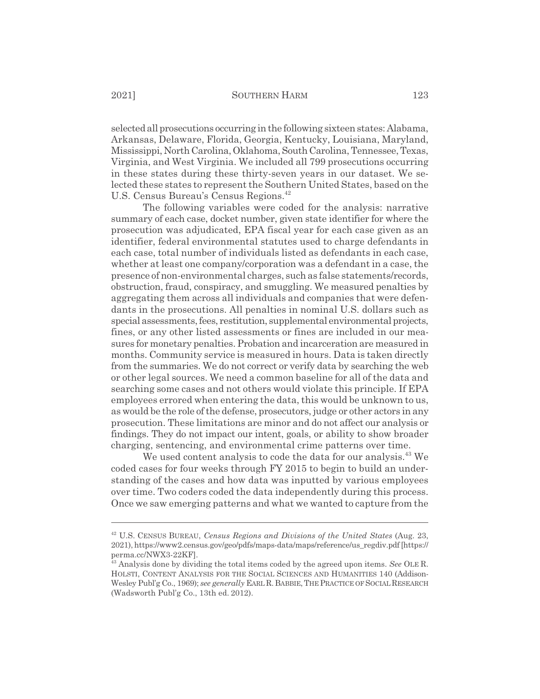selected all prosecutions occurring in the following sixteen states: Alabama, Arkansas, Delaware, Florida, Georgia, Kentucky, Louisiana, Maryland, Mississippi, North Carolina, Oklahoma, South Carolina, Tennessee, Texas, Virginia, and West Virginia. We included all 799 prosecutions occurring in these states during these thirty-seven years in our dataset. We selected these states to represent the Southern United States, based on the U.S. Census Bureau's Census Regions.<sup>42</sup>

The following variables were coded for the analysis: narrative summary of each case, docket number, given state identifier for where the prosecution was adjudicated, EPA fiscal year for each case given as an identifier, federal environmental statutes used to charge defendants in each case, total number of individuals listed as defendants in each case, whether at least one company/corporation was a defendant in a case, the presence of non-environmental charges, such as false statements/records, obstruction, fraud, conspiracy, and smuggling. We measured penalties by aggregating them across all individuals and companies that were defendants in the prosecutions. All penalties in nominal U.S. dollars such as special assessments, fees, restitution, supplemental environmental projects, fines, or any other listed assessments or fines are included in our measures for monetary penalties. Probation and incarceration are measured in months. Community service is measured in hours. Data is taken directly from the summaries. We do not correct or verify data by searching the web or other legal sources. We need a common baseline for all of the data and searching some cases and not others would violate this principle. If EPA employees errored when entering the data, this would be unknown to us, as would be the role of the defense, prosecutors, judge or other actors in any prosecution. These limitations are minor and do not affect our analysis or findings. They do not impact our intent, goals, or ability to show broader charging, sentencing, and environmental crime patterns over time.

We used content analysis to code the data for our analysis.<sup>43</sup> We coded cases for four weeks through FY 2015 to begin to build an understanding of the cases and how data was inputted by various employees over time. Two coders coded the data independently during this process. Once we saw emerging patterns and what we wanted to capture from the

<sup>42</sup> U.S. CENSUS BUREAU, *Census Regions and Divisions of the United States* (Aug. 23, 2021), https://www2.census.gov/geo/pdfs/maps-data/maps/reference/us\_regdiv.pdf [https:// perma.cc/NWX3-22KF].

<sup>&</sup>lt;sup>43</sup> Analysis done by dividing the total items coded by the agreed upon items. *See* OLE R. HOLSTI, CONTENT ANALYSIS FOR THE SOCIAL SCIENCES AND HUMANITIES 140 (Addison-Wesley Publ'g Co., 1969); *see generally* EARL R. BABBIE, THE PRACTICE OF SOCIAL RESEARCH (Wadsworth Publ'g Co., 13th ed. 2012).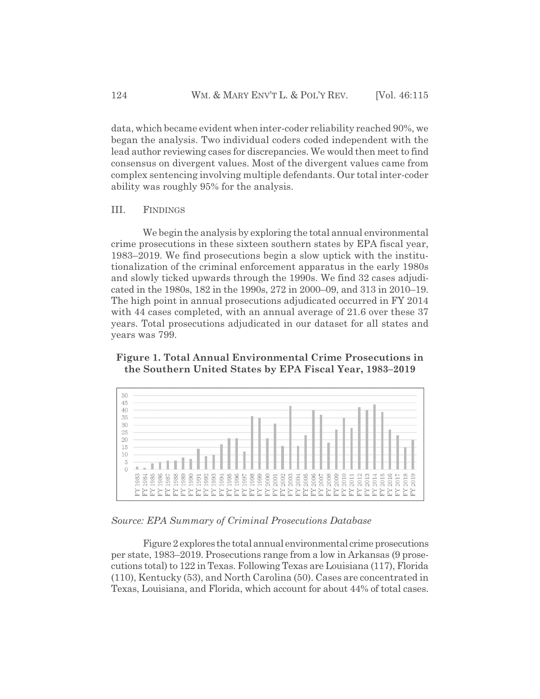data, which became evident when inter-coder reliability reached 90%, we began the analysis. Two individual coders coded independent with the lead author reviewing cases for discrepancies. We would then meet to find consensus on divergent values. Most of the divergent values came from complex sentencing involving multiple defendants. Our total inter-coder ability was roughly 95% for the analysis.

# III. FINDINGS

We begin the analysis by exploring the total annual environmental crime prosecutions in these sixteen southern states by EPA fiscal year, 1983–2019. We find prosecutions begin a slow uptick with the institutionalization of the criminal enforcement apparatus in the early 1980s and slowly ticked upwards through the 1990s. We find 32 cases adjudicated in the 1980s, 182 in the 1990s, 272 in 2000–09, and 313 in 2010–19. The high point in annual prosecutions adjudicated occurred in FY 2014 with 44 cases completed, with an annual average of 21.6 over these 37 years. Total prosecutions adjudicated in our dataset for all states and years was 799.

# **Figure 1. Total Annual Environmental Crime Prosecutions in the Southern United States by EPA Fiscal Year, 1983–2019**



# *Source: EPA Summary of Criminal Prosecutions Database*

Figure 2 explores the total annual environmental crime prosecutions per state, 1983–2019. Prosecutions range from a low in Arkansas (9 prosecutions total) to 122 in Texas. Following Texas are Louisiana (117), Florida (110), Kentucky (53), and North Carolina (50). Cases are concentrated in Texas, Louisiana, and Florida, which account for about 44% of total cases.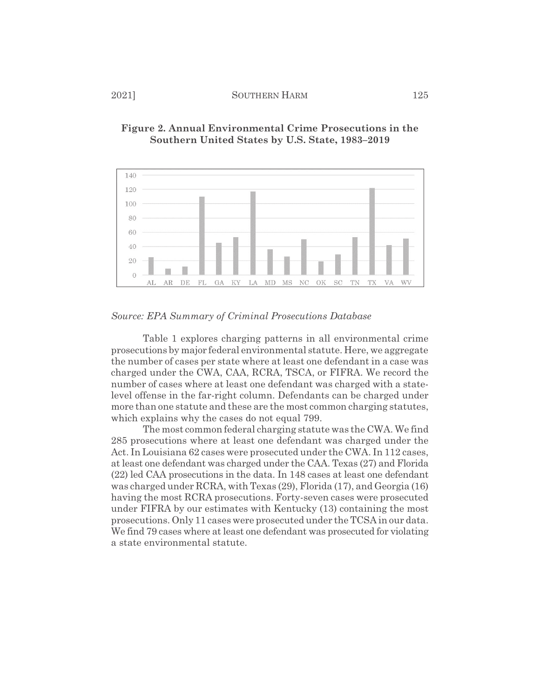

# **Figure 2. Annual Environmental Crime Prosecutions in the Southern United States by U.S. State, 1983–2019**

*Source: EPA Summary of Criminal Prosecutions Database*

Table 1 explores charging patterns in all environmental crime prosecutions by major federal environmental statute. Here, we aggregate the number of cases per state where at least one defendant in a case was charged under the CWA, CAA, RCRA, TSCA, or FIFRA. We record the number of cases where at least one defendant was charged with a statelevel offense in the far-right column. Defendants can be charged under more than one statute and these are the most common charging statutes, which explains why the cases do not equal 799.

The most common federal charging statute was the CWA. We find 285 prosecutions where at least one defendant was charged under the Act. In Louisiana 62 cases were prosecuted under the CWA. In 112 cases, at least one defendant was charged under the CAA. Texas (27) and Florida (22) led CAA prosecutions in the data. In 148 cases at least one defendant was charged under RCRA, with Texas (29), Florida (17), and Georgia (16) having the most RCRA prosecutions. Forty-seven cases were prosecuted under FIFRA by our estimates with Kentucky (13) containing the most prosecutions. Only 11 cases were prosecuted under the TCSA in our data. We find 79 cases where at least one defendant was prosecuted for violating a state environmental statute.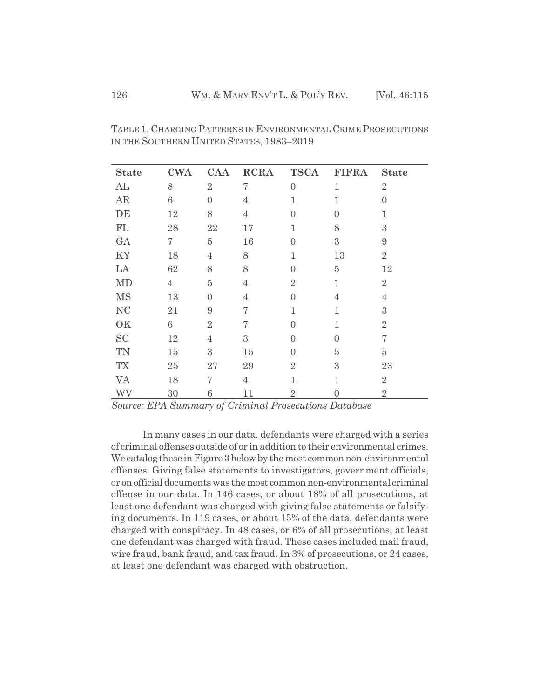| <b>State</b>               | <b>CWA</b>     | CAA            | <b>RCRA</b>    | <b>TSCA</b>      | <b>FIFRA</b>   | <b>State</b>   |
|----------------------------|----------------|----------------|----------------|------------------|----------------|----------------|
| AL                         | 8              | $\overline{2}$ | 7              | $\overline{0}$   | $\mathbf{1}$   | $\overline{2}$ |
| AR                         | 6              | $\theta$       | 4              | $\mathbf{1}$     | $\mathbf{1}$   | $\theta$       |
| DE                         | 12             | 8              | $\overline{4}$ | $\overline{0}$   | $\Omega$       | $\mathbf 1$    |
| $\mathop{\rm FL}\nolimits$ | 28             | 22             | 17             | $\mathbf{1}$     | 8              | 3              |
| GA                         | 7              | $\overline{5}$ | 16             | $\overline{0}$   | 3              | 9              |
| KY                         | 18             | $\overline{4}$ | 8              | $\mathbf{1}$     | 13             | $\overline{2}$ |
| LA                         | 62             | 8              | 8              | $\overline{0}$   | $\overline{5}$ | 12             |
| MD                         | $\overline{4}$ | $\overline{5}$ | $\overline{4}$ | $\overline{2}$   | $\mathbf{1}$   | $\overline{2}$ |
| <b>MS</b>                  | 13             | $\Omega$       | $\overline{4}$ | $\left( \right)$ | $\overline{4}$ | 4              |
| <b>NC</b>                  | 21             | $\overline{9}$ | 7              | $\mathbf{1}$     | $\mathbf{1}$   | 3              |
| OK                         | 6              | $\overline{2}$ | 7              | $\overline{0}$   | $\mathbf{1}$   | $\overline{2}$ |
| <b>SC</b>                  | 12             | $\overline{4}$ | 3              | $\overline{0}$   | $\Omega$       | 7              |
| TN                         | 15             | 3              | 15             | $\overline{0}$   | $\overline{5}$ | $\overline{5}$ |
| TX                         | 25             | 27             | 29             | $\overline{2}$   | 3              | 23             |
| VA                         | 18             | 7              | $\overline{4}$ | 1                | 1              | $\overline{2}$ |
| WV                         | 30             | 6              | 11             | $\overline{2}$   | $\Omega$       | $\overline{2}$ |

TABLE 1. CHARGING PATTERNS IN ENVIRONMENTAL CRIME PROSECUTIONS IN THE SOUTHERN UNITED STATES, 1983–2019

*Source: EPA Summary of Criminal Prosecutions Database*

In many cases in our data, defendants were charged with a series of criminal offenses outside of or in addition to their environmental crimes. We catalog these in Figure 3 below by the most common non-environmental offenses. Giving false statements to investigators, government officials, or on official documents was the most common non-environmental criminal offense in our data. In 146 cases, or about 18% of all prosecutions, at least one defendant was charged with giving false statements or falsifying documents. In 119 cases, or about 15% of the data, defendants were charged with conspiracy. In 48 cases, or 6% of all prosecutions, at least one defendant was charged with fraud. These cases included mail fraud, wire fraud, bank fraud, and tax fraud. In 3% of prosecutions, or 24 cases, at least one defendant was charged with obstruction.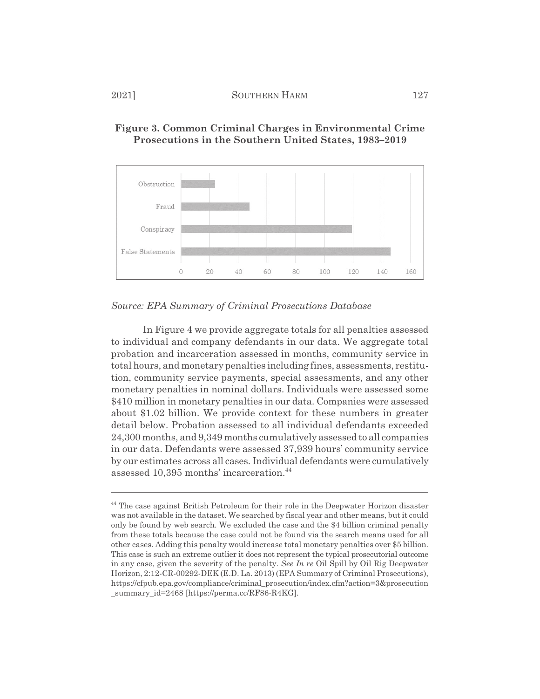

# **Figure 3. Common Criminal Charges in Environmental Crime Prosecutions in the Southern United States, 1983–2019**

*Source: EPA Summary of Criminal Prosecutions Database*

In Figure 4 we provide aggregate totals for all penalties assessed to individual and company defendants in our data. We aggregate total probation and incarceration assessed in months, community service in total hours, and monetary penalties including fines, assessments, restitution, community service payments, special assessments, and any other monetary penalties in nominal dollars. Individuals were assessed some \$410 million in monetary penalties in our data. Companies were assessed about \$1.02 billion. We provide context for these numbers in greater detail below. Probation assessed to all individual defendants exceeded 24,300 months, and 9,349 months cumulatively assessed to all companies in our data. Defendants were assessed 37,939 hours' community service by our estimates across all cases. Individual defendants were cumulatively assessed 10,395 months' incarceration.<sup>44</sup>

<sup>44</sup> The case against British Petroleum for their role in the Deepwater Horizon disaster was not available in the dataset. We searched by fiscal year and other means, but it could only be found by web search. We excluded the case and the \$4 billion criminal penalty from these totals because the case could not be found via the search means used for all other cases. Adding this penalty would increase total monetary penalties over \$5 billion. This case is such an extreme outlier it does not represent the typical prosecutorial outcome in any case, given the severity of the penalty. *See In re* Oil Spill by Oil Rig Deepwater Horizon, 2:12-CR-00292-DEK (E.D. La. 2013) (EPA Summary of Criminal Prosecutions), https://cfpub.epa.gov/compliance/criminal\_prosecution/index.cfm?action=3&prosecution \_summary\_id=2468 [https://perma.cc/RF86-R4KG].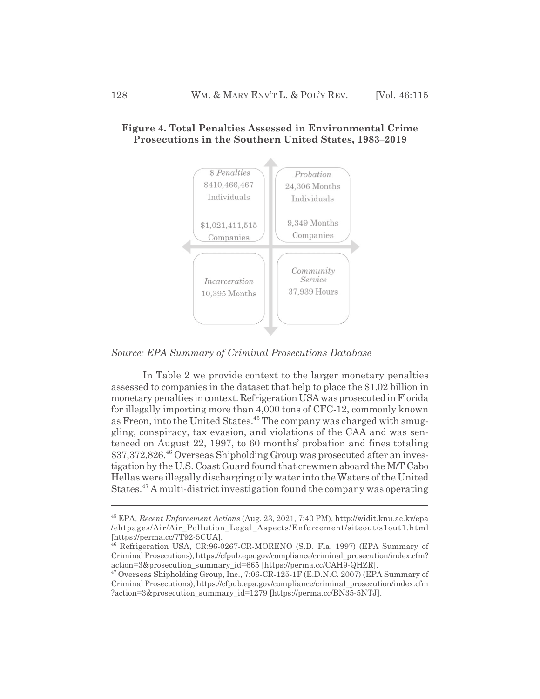

# **Figure 4. Total Penalties Assessed in Environmental Crime Prosecutions in the Southern United States, 1983–2019**

*Source: EPA Summary of Criminal Prosecutions Database*

In Table 2 we provide context to the larger monetary penalties assessed to companies in the dataset that help to place the \$1.02 billion in monetary penalties in context. Refrigeration USA was prosecuted in Florida for illegally importing more than 4,000 tons of CFC-12, commonly known as Freon, into the United States.<sup>45</sup> The company was charged with smuggling, conspiracy, tax evasion, and violations of the CAA and was sentenced on August 22, 1997, to 60 months' probation and fines totaling \$37,372,826.<sup>46</sup> Overseas Shipholding Group was prosecuted after an investigation by the U.S. Coast Guard found that crewmen aboard the M/T Cabo Hellas were illegally discharging oily water into the Waters of the United States.<sup>47</sup> A multi-district investigation found the company was operating

<sup>45</sup> EPA, *Recent Enforcement Actions* (Aug. 23, 2021, 7:40 PM), http://widit.knu.ac.kr/epa /ebtpages/Air/Air\_Pollution\_Legal\_Aspects/Enforcement/siteout/s1out1.html [https://perma.cc/7T92-5CUA].

<sup>46</sup> Refrigeration USA, CR:96-0267-CR-MORENO (S.D. Fla. 1997) (EPA Summary of Criminal Prosecutions), https://cfpub.epa.gov/compliance/criminal\_prosecution/index.cfm? action=3&prosecution\_summary\_id=665 [https://perma.cc/CAH9-QHZR].

<sup>&</sup>lt;sup>47</sup> Overseas Shipholding Group, Inc., 7:06-CR-125-1F (E.D.N.C. 2007) (EPA Summary of Criminal Prosecutions), https://cfpub.epa.gov/compliance/criminal\_prosecution/index.cfm ?action=3&prosecution\_summary\_id=1279 [https://perma.cc/BN35-5NTJ].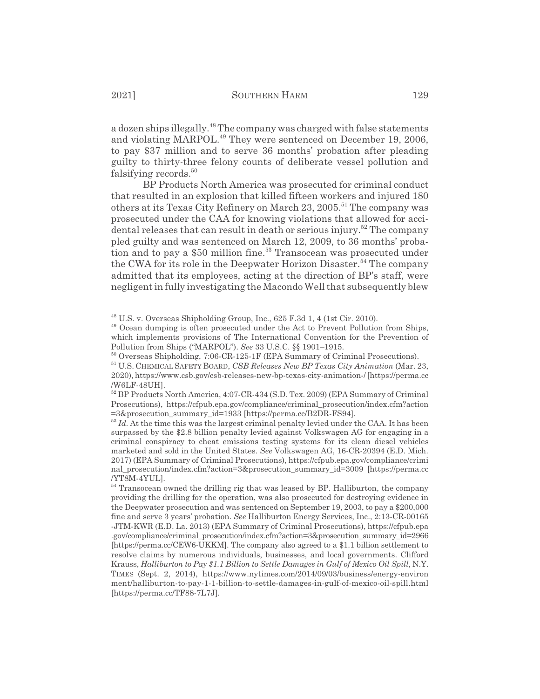a dozen ships illegally.<sup>48</sup> The company was charged with false statements and violating MARPOL.<sup>49</sup> They were sentenced on December 19, 2006, to pay \$37 million and to serve 36 months' probation after pleading guilty to thirty-three felony counts of deliberate vessel pollution and falsifying records.<sup>50</sup>

BP Products North America was prosecuted for criminal conduct that resulted in an explosion that killed fifteen workers and injured 180 others at its Texas City Refinery on March 23, 2005.<sup>51</sup> The company was prosecuted under the CAA for knowing violations that allowed for accidental releases that can result in death or serious injury.<sup>52</sup> The company pled guilty and was sentenced on March 12, 2009, to 36 months' probation and to pay a \$50 million fine.<sup>53</sup> Transocean was prosecuted under the CWA for its role in the Deepwater Horizon Disaster.<sup>54</sup> The company admitted that its employees, acting at the direction of BP's staff, were negligent in fully investigating the Macondo Well that subsequently blew

 $48$  U.S. v. Overseas Shipholding Group, Inc., 625 F.3d 1, 4 (1st Cir. 2010).

<sup>49</sup> Ocean dumping is often prosecuted under the Act to Prevent Pollution from Ships, which implements provisions of The International Convention for the Prevention of Pollution from Ships ("MARPOL"). *See* 33 U.S.C. §§ 1901–1915.

<sup>50</sup> Overseas Shipholding, 7:06-CR-125-1F (EPA Summary of Criminal Prosecutions).

<sup>51</sup> U.S. CHEMICAL SAFETY BOARD, *CSB Releases New BP Texas City Animation* (Mar. 23, 2020), https://www.csb.gov/csb-releases-new-bp-texas-city-animation-/ [https://perma.cc /W6LF-48UH].

<sup>&</sup>lt;sup>52</sup> BP Products North America, 4:07-CR-434 (S.D. Tex. 2009) (EPA Summary of Criminal Prosecutions), https://cfpub.epa.gov/compliance/criminal\_prosecution/index.cfm?action =3&prosecution\_summary\_id=1933 [https://perma.cc/B2DR-FS94].

<sup>&</sup>lt;sup>53</sup> *Id.* At the time this was the largest criminal penalty levied under the CAA. It has been surpassed by the \$2.8 billion penalty levied against Volkswagen AG for engaging in a criminal conspiracy to cheat emissions testing systems for its clean diesel vehicles marketed and sold in the United States. *See* Volkswagen AG, 16-CR-20394 (E.D. Mich. 2017) (EPA Summary of Criminal Prosecutions), https://cfpub.epa.gov/compliance/crimi nal\_prosecution/index.cfm?action=3&prosecution\_summary\_id=3009 [https://perma.cc /YT8M-4YUL].

<sup>&</sup>lt;sup>54</sup> Transocean owned the drilling rig that was leased by BP. Halliburton, the company providing the drilling for the operation, was also prosecuted for destroying evidence in the Deepwater prosecution and was sentenced on September 19, 2003, to pay a \$200,000 fine and serve 3 years' probation. *See* Halliburton Energy Services, Inc., 2:13-CR-00165 -JTM-KWR (E.D. La. 2013) (EPA Summary of Criminal Prosecutions), https://cfpub.epa .gov/compliance/criminal\_prosecution/index.cfm?action=3&prosecution\_summary\_id=2966 [https://perma.cc/CEW6-UKKM]. The company also agreed to a \$1.1 billion settlement to resolve claims by numerous individuals, businesses, and local governments. Clifford Krauss, *Halliburton to Pay \$1.1 Billion to Settle Damages in Gulf of Mexico Oil Spill*, N.Y. TIMES (Sept. 2, 2014), https://www.nytimes.com/2014/09/03/business/energy-environ ment/halliburton-to-pay-1-1-billion-to-settle-damages-in-gulf-of-mexico-oil-spill.html [https://perma.cc/TF88-7L7J].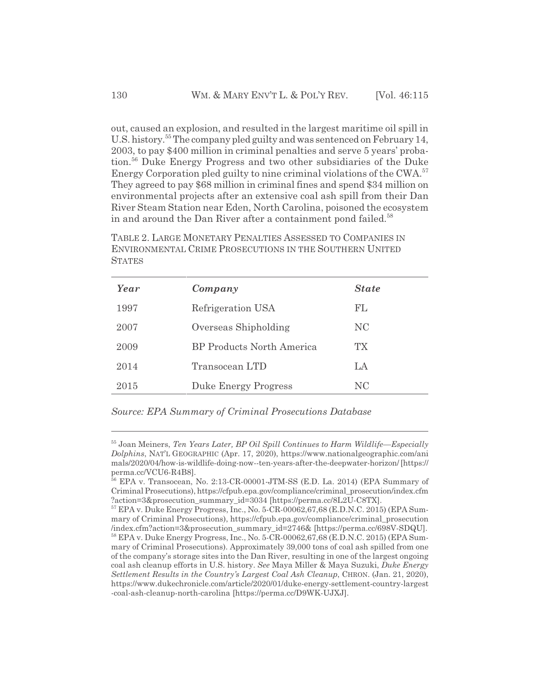out, caused an explosion, and resulted in the largest maritime oil spill in U.S. history.55 The company pled guilty and was sentenced on February 14, 2003, to pay \$400 million in criminal penalties and serve 5 years' probation.56 Duke Energy Progress and two other subsidiaries of the Duke Energy Corporation pled guilty to nine criminal violations of the CWA.57 They agreed to pay \$68 million in criminal fines and spend \$34 million on environmental projects after an extensive coal ash spill from their Dan River Steam Station near Eden, North Carolina, poisoned the ecosystem in and around the Dan River after a containment pond failed.<sup>58</sup>

TABLE 2. LARGE MONETARY PENALTIES ASSESSED TO COMPANIES IN ENVIRONMENTAL CRIME PROSECUTIONS IN THE SOUTHERN UNITED **STATES** 

| Year | Company                          | <b>State</b> |
|------|----------------------------------|--------------|
| 1997 | Refrigeration USA                | FL           |
| 2007 | Overseas Shipholding             | NC.          |
| 2009 | <b>BP</b> Products North America | ТX           |
| 2014 | Transocean LTD                   | LA           |
| 2015 | Duke Energy Progress             | NC           |

*Source: EPA Summary of Criminal Prosecutions Database*

<sup>55</sup> Joan Meiners, *Ten Years Later, BP Oil Spill Continues to Harm Wildlife—Especially Dolphins*, NAT'L GEOGRAPHIC (Apr. 17, 2020), https://www.nationalgeographic.com/ani mals/2020/04/how-is-wildlife-doing-now--ten-years-after-the-deepwater-horizon/ [https:// perma.cc/VCU6-R4B8].

<sup>56</sup> EPA v. Transocean, No. 2:13-CR-00001-JTM-SS (E.D. La. 2014) (EPA Summary of Criminal Prosecutions), https://cfpub.epa.gov/compliance/criminal\_prosecution/index.cfm ?action=3&prosecution\_summary\_id=3034 [https://perma.cc/8L2U-C8TX].

<sup>57</sup> EPA v. Duke Energy Progress, Inc., No. 5-CR-00062,67,68 (E.D.N.C. 2015) (EPA Summary of Criminal Prosecutions), https://cfpub.epa.gov/compliance/criminal\_prosecution /index.cfm?action=3&prosecution\_summary\_id=2746& [https://perma.cc/698V-SDQU]. 58 EPA v. Duke Energy Progress, Inc., No. 5-CR-00062,67,68 (E.D.N.C. 2015) (EPA Summary of Criminal Prosecutions). Approximately 39,000 tons of coal ash spilled from one of the company's storage sites into the Dan River, resulting in one of the largest ongoing coal ash cleanup efforts in U.S. history. *See* Maya Miller & Maya Suzuki, *Duke Energy Settlement Results in the Country's Largest Coal Ash Cleanup*, CHRON. (Jan. 21, 2020), https://www.dukechronicle.com/article/2020/01/duke-energy-settlement-country-largest -coal-ash-cleanup-north-carolina [https://perma.cc/D9WK-UJXJ].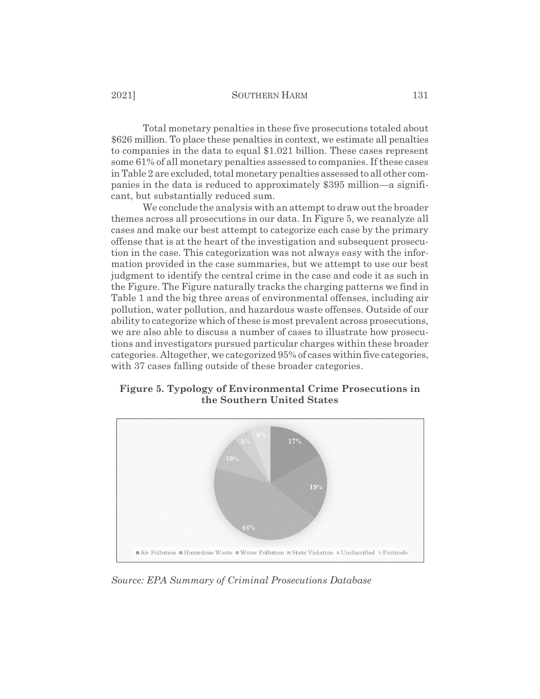Total monetary penalties in these five prosecutions totaled about \$626 million. To place these penalties in context, we estimate all penalties to companies in the data to equal \$1.021 billion. These cases represent some 61% of all monetary penalties assessed to companies. If these cases in Table 2 are excluded, total monetary penalties assessed to all other companies in the data is reduced to approximately \$395 million—a significant, but substantially reduced sum.

We conclude the analysis with an attempt to draw out the broader themes across all prosecutions in our data. In Figure 5, we reanalyze all cases and make our best attempt to categorize each case by the primary offense that is at the heart of the investigation and subsequent prosecution in the case. This categorization was not always easy with the information provided in the case summaries, but we attempt to use our best judgment to identify the central crime in the case and code it as such in the Figure. The Figure naturally tracks the charging patterns we find in Table 1 and the big three areas of environmental offenses, including air pollution, water pollution, and hazardous waste offenses. Outside of our ability to categorize which of these is most prevalent across prosecutions, we are also able to discuss a number of cases to illustrate how prosecutions and investigators pursued particular charges within these broader categories. Altogether, we categorized 95% of cases within five categories, with 37 cases falling outside of these broader categories.

# **Figure 5. Typology of Environmental Crime Prosecutions in the Southern United States**



*Source: EPA Summary of Criminal Prosecutions Database*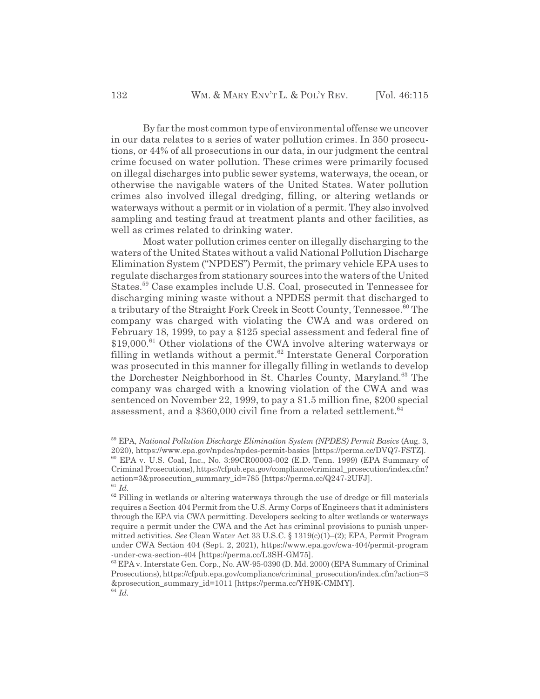By far the most common type of environmental offense we uncover in our data relates to a series of water pollution crimes. In 350 prosecutions, or 44% of all prosecutions in our data, in our judgment the central crime focused on water pollution. These crimes were primarily focused on illegal discharges into public sewer systems, waterways, the ocean, or otherwise the navigable waters of the United States. Water pollution crimes also involved illegal dredging, filling, or altering wetlands or waterways without a permit or in violation of a permit. They also involved sampling and testing fraud at treatment plants and other facilities, as well as crimes related to drinking water.

Most water pollution crimes center on illegally discharging to the waters of the United States without a valid National Pollution Discharge Elimination System ("NPDES") Permit, the primary vehicle EPA uses to regulate discharges from stationary sources into the waters of the United States.59 Case examples include U.S. Coal, prosecuted in Tennessee for discharging mining waste without a NPDES permit that discharged to a tributary of the Straight Fork Creek in Scott County, Tennessee.<sup>60</sup> The company was charged with violating the CWA and was ordered on February 18, 1999, to pay a \$125 special assessment and federal fine of \$19,000.<sup>61</sup> Other violations of the CWA involve altering waterways or filling in wetlands without a permit.<sup>62</sup> Interstate General Corporation was prosecuted in this manner for illegally filling in wetlands to develop the Dorchester Neighborhood in St. Charles County, Maryland.<sup>63</sup> The company was charged with a knowing violation of the CWA and was sentenced on November 22, 1999, to pay a \$1.5 million fine, \$200 special assessment, and a  $$360,000$  civil fine from a related settlement.<sup>64</sup>

<sup>59</sup> EPA, *National Pollution Discharge Elimination System (NPDES) Permit Basics* (Aug. 3, 2020), https://www.epa.gov/npdes/npdes-permit-basics [https://perma.cc/DVQ7-FSTZ]. 60 EPA v. U.S. Coal, Inc., No. 3:99CR00003-002 (E.D. Tenn. 1999) (EPA Summary of Criminal Prosecutions), https://cfpub.epa.gov/compliance/criminal\_prosecution/index.cfm? action=3&prosecution\_summary\_id=785 [https://perma.cc/Q247-2UFJ]. <sup>61</sup> *Id.*

 $62$  Filling in wetlands or altering waterways through the use of dredge or fill materials requires a Section 404 Permit from the U.S. Army Corps of Engineers that it administers through the EPA via CWA permitting. Developers seeking to alter wetlands or waterways require a permit under the CWA and the Act has criminal provisions to punish unpermitted activities. *See* Clean Water Act 33 U.S.C. § 1319(c)(1)–(2); EPA, Permit Program under CWA Section 404 (Sept. 2, 2021), https://www.epa.gov/cwa-404/permit-program -under-cwa-section-404 [https://perma.cc/L3SH-GM75].

<sup>63</sup> EPA v. Interstate Gen. Corp., No. AW-95-0390 (D. Md. 2000) (EPA Summary of Criminal Prosecutions), https://cfpub.epa.gov/compliance/criminal\_prosecution/index.cfm?action=3 &prosecution\_summary\_id=1011 [https://perma.cc/YH9K-CMMY]. <sup>64</sup> *Id.*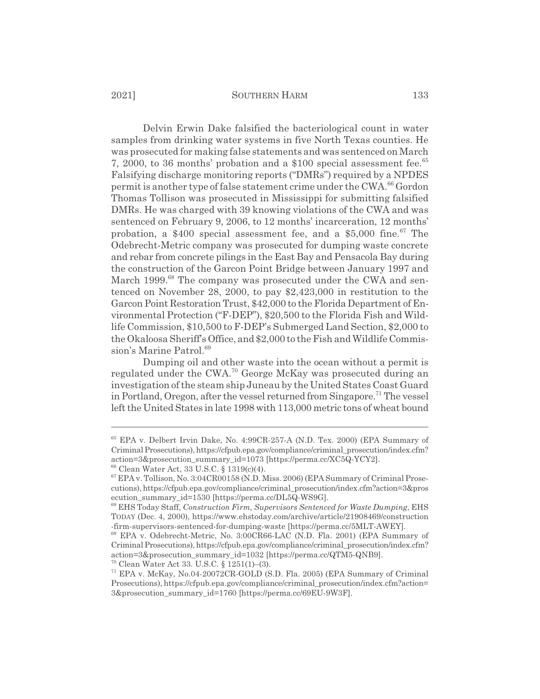Delvin Erwin Dake falsified the bacteriological count in water samples from drinking water systems in five North Texas counties. He was prosecuted for making false statements and was sentenced on March 7, 2000, to 36 months' probation and a \$100 special assessment fee.<sup>65</sup> Falsifying discharge monitoring reports ("DMRs") required by a NPDES permit is another type of false statement crime under the CWA.<sup>66</sup> Gordon Thomas Tollison was prosecuted in Mississippi for submitting falsified DMRs. He was charged with 39 knowing violations of the CWA and was sentenced on February 9, 2006, to 12 months' incarceration, 12 months' probation, a  $$400$  special assessment fee, and a  $$5,000$  fine.<sup>67</sup> The Odebrecht-Metric company was prosecuted for dumping waste concrete and rebar from concrete pilings in the East Bay and Pensacola Bay during the construction of the Garcon Point Bridge between January 1997 and March 1999.<sup>68</sup> The company was prosecuted under the CWA and sentenced on November 28, 2000, to pay \$2,423,000 in restitution to the Garcon Point Restoration Trust, \$42,000 to the Florida Department of Environmental Protection ("F-DEP"), \$20,500 to the Florida Fish and Wildlife Commission, \$10,500 to F-DEP's Submerged Land Section, \$2,000 to the Okaloosa Sheriff's Office, and \$2,000 to the Fish and Wildlife Commission's Marine Patrol.<sup>69</sup>

Dumping oil and other waste into the ocean without a permit is regulated under the CWA.<sup>70</sup> George McKay was prosecuted during an investigation of the steam ship Juneau by the United States Coast Guard in Portland, Oregon, after the vessel returned from Singapore.<sup>71</sup> The vessel left the United States in late 1998 with 113,000 metric tons of wheat bound

70 Clean Water Act 33. U.S.C. § 1251(1)–(3).

<sup>65</sup> EPA v. Delbert Irvin Dake, No. 4:99CR-257-A (N.D. Tex. 2000) (EPA Summary of Criminal Prosecutions), https://cfpub.epa.gov/compliance/criminal\_prosecution/index.cfm? action=3&prosecution\_summary\_id=1073 [https://perma.cc/XC5Q-YCY2].

<sup>66</sup> Clean Water Act, 33 U.S.C. § 1319(c)(4).

<sup>67</sup> EPA v. Tollison, No. 3:04CR00158 (N.D. Miss. 2006) (EPA Summary of Criminal Prosecutions), https://cfpub.epa.gov/compliance/criminal\_prosecution/index.cfm?action=3&pros ecution\_summary\_id=1530 [https://perma.cc/DL5Q-WS9G].

<sup>68</sup> EHS Today Staff, *Construction Firm, Supervisors Sentenced for Waste Dumping*, EHS TODAY (Dec. 4, 2000), https://www.ehstoday.com/archive/article/21908469/construction -firm-supervisors-sentenced-for-dumping-waste [https://perma.cc/5MLT-AWEY].

<sup>69</sup> EPA v. Odebrecht-Metric, No. 3:00CR66-LAC (N.D. Fla. 2001) (EPA Summary of Criminal Prosecutions), https://cfpub.epa.gov/compliance/criminal\_prosecution/index.cfm? action=3&prosecution\_summary\_id=1032 [https://perma.cc/QTM5-QNB9].

<sup>71</sup> EPA v. McKay, No.04-20072CR-GOLD (S.D. Fla. 2005) (EPA Summary of Criminal Prosecutions), https://cfpub.epa.gov/compliance/criminal\_prosecution/index.cfm?action= 3&prosecution\_summary\_id=1760 [https://perma.cc/69EU-9W3F].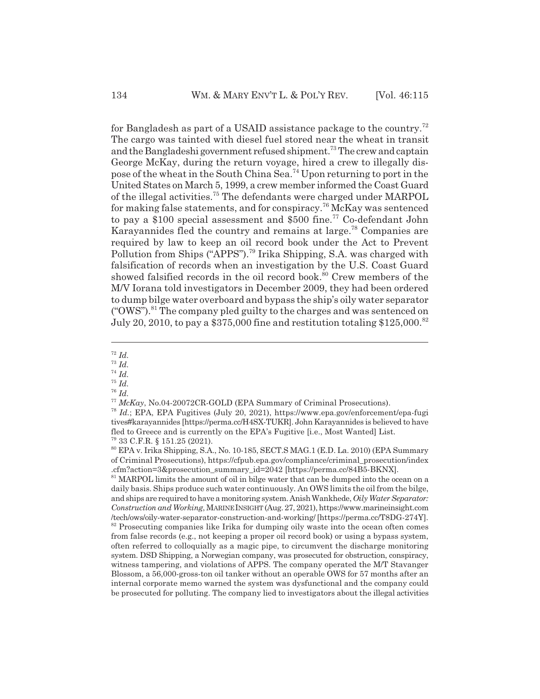for Bangladesh as part of a USAID assistance package to the country.72 The cargo was tainted with diesel fuel stored near the wheat in transit and the Bangladeshi government refused shipment.<sup>73</sup> The crew and captain George McKay, during the return voyage, hired a crew to illegally dispose of the wheat in the South China Sea.74 Upon returning to port in the United States on March 5, 1999, a crew member informed the Coast Guard of the illegal activities.75 The defendants were charged under MARPOL for making false statements, and for conspiracy.<sup>76</sup> McKay was sentenced to pay a \$100 special assessment and \$500 fine.<sup>77</sup> Co-defendant John Karayannides fled the country and remains at large.<sup>78</sup> Companies are required by law to keep an oil record book under the Act to Prevent Pollution from Ships ("APPS").79 Irika Shipping, S.A. was charged with falsification of records when an investigation by the U.S. Coast Guard showed falsified records in the oil record book.<sup>80</sup> Crew members of the M/V Iorana told investigators in December 2009, they had been ordered to dump bilge water overboard and bypass the ship's oily water separator  $("OWS").<sup>81</sup>$  The company pled guilty to the charges and was sentenced on July 20, 2010, to pay a \$375,000 fine and restitution totaling \$125,000.<sup>82</sup>

<sup>72</sup> *Id.*

<sup>73</sup> *Id.*

<sup>74</sup> *Id.*

- <sup>75</sup> *Id.*
- <sup>76</sup> *Id.*

81 MARPOL limits the amount of oil in bilge water that can be dumped into the ocean on a daily basis. Ships produce such water continuously. An OWS limits the oil from the bilge, and ships are required to have a monitoring system. Anish Wankhede, *Oily Water Separator: Construction and Working*, MARINE INSIGHT (Aug. 27, 2021), https://www.marineinsight.com /tech/ows/oily-water-separator-construction-and-working/ [https://perma.cc/T8DG-274Y]. <sup>82</sup> Prosecuting companies like Irika for dumping oily waste into the ocean often comes from false records (e.g., not keeping a proper oil record book) or using a bypass system, often referred to colloquially as a magic pipe, to circumvent the discharge monitoring system. DSD Shipping, a Norwegian company, was prosecuted for obstruction, conspiracy, witness tampering, and violations of APPS. The company operated the M/T Stavanger Blossom, a 56,000-gross-ton oil tanker without an operable OWS for 57 months after an internal corporate memo warned the system was dysfunctional and the company could be prosecuted for polluting. The company lied to investigators about the illegal activities

<sup>77</sup> *McKay*, No.04-20072CR-GOLD (EPA Summary of Criminal Prosecutions).

<sup>78</sup> *Id.*; EPA, EPA Fugitives (July 20, 2021), https://www.epa.gov/enforcement/epa-fugi tives#karayannides [https://perma.cc/H4SX-TUKR]. John Karayannides is believed to have fled to Greece and is currently on the EPA's Fugitive [i.e., Most Wanted] List. 79 33 C.F.R. § 151.25 (2021).

<sup>80</sup> EPA v. Irika Shipping, S.A., No. 10-185, SECT.S MAG.1 (E.D. La. 2010) (EPA Summary of Criminal Prosecutions), https://cfpub.epa.gov/compliance/criminal\_prosecution/index .cfm?action=3&prosecution\_summary\_id=2042 [https://perma.cc/84B5-BKNX].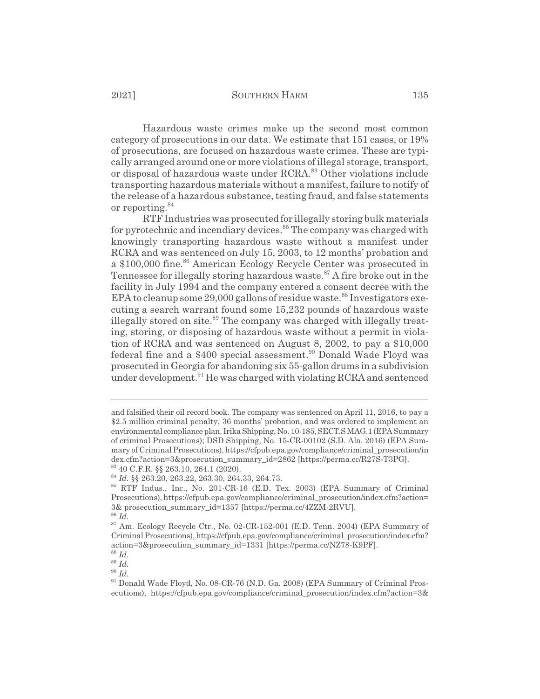Hazardous waste crimes make up the second most common category of prosecutions in our data. We estimate that 151 cases, or 19% of prosecutions, are focused on hazardous waste crimes. These are typically arranged around one or more violations of illegal storage, transport, or disposal of hazardous waste under RCRA.<sup>83</sup> Other violations include transporting hazardous materials without a manifest, failure to notify of the release of a hazardous substance, testing fraud, and false statements or reporting.<sup>84</sup>

RTF Industries was prosecuted for illegally storing bulk materials for pyrotechnic and incendiary devices.<sup>85</sup> The company was charged with knowingly transporting hazardous waste without a manifest under RCRA and was sentenced on July 15, 2003, to 12 months' probation and a \$100,000 fine.<sup>86</sup> American Ecology Recycle Center was prosecuted in Tennessee for illegally storing hazardous waste.<sup>87</sup> A fire broke out in the facility in July 1994 and the company entered a consent decree with the EPA to cleanup some  $29,000$  gallons of residue waste.<sup>88</sup> Investigators executing a search warrant found some 15,232 pounds of hazardous waste illegally stored on site.<sup>89</sup> The company was charged with illegally treating, storing, or disposing of hazardous waste without a permit in violation of RCRA and was sentenced on August 8, 2002, to pay a \$10,000 federal fine and a \$400 special assessment.<sup>90</sup> Donald Wade Floyd was prosecuted in Georgia for abandoning six 55-gallon drums in a subdivision under development.<sup>91</sup> He was charged with violating RCRA and sentenced

and falsified their oil record book. The company was sentenced on April 11, 2016, to pay a \$2.5 million criminal penalty, 36 months' probation, and was ordered to implement an environmental compliance plan. Irika Shipping, No. 10-185, SECT.S MAG.1 (EPA Summary of criminal Prosecutions); DSD Shipping, No. 15-CR-00102 (S.D. Ala. 2016) (EPA Summary of Criminal Prosecutions), https://cfpub.epa.gov/compliance/criminal\_prosecution/in dex.cfm?action=3&prosecution\_summary\_id=2862 [https://perma.cc/R27S-T3PG].

<sup>83 40</sup> C.F.R. §§ 263.10, 264.1 (2020). <sup>84</sup> *Id.* §§ 263.20, 263.22, 263.30, 264.33, 264.73.

<sup>85</sup> RTF Indus., Inc., No. 201-CR-16 (E.D. Tex. 2003) (EPA Summary of Criminal Prosecutions), https://cfpub.epa.gov/compliance/criminal\_prosecution/index.cfm?action= 3& prosecution\_summary\_id=1357 [https://perma.cc/4ZZM-2RVU].

<sup>86</sup> *Id.*

<sup>87</sup> Am. Ecology Recycle Ctr., No. 02-CR-152-001 (E.D. Tenn. 2004) (EPA Summary of Criminal Prosecutions), https://cfpub.epa.gov/compliance/criminal\_prosecution/index.cfm? action=3&prosecution\_summary\_id=1331 [https://perma.cc/NZ78-K9PF].

<sup>88</sup> *Id.*

<sup>89</sup> *Id.*

<sup>90</sup> *Id.*

<sup>&</sup>lt;sup>91</sup> Donald Wade Floyd, No. 08-CR-76 (N.D. Ga. 2008) (EPA Summary of Criminal Prosecutions), https://cfpub.epa.gov/compliance/criminal\_prosecution/index.cfm?action=3&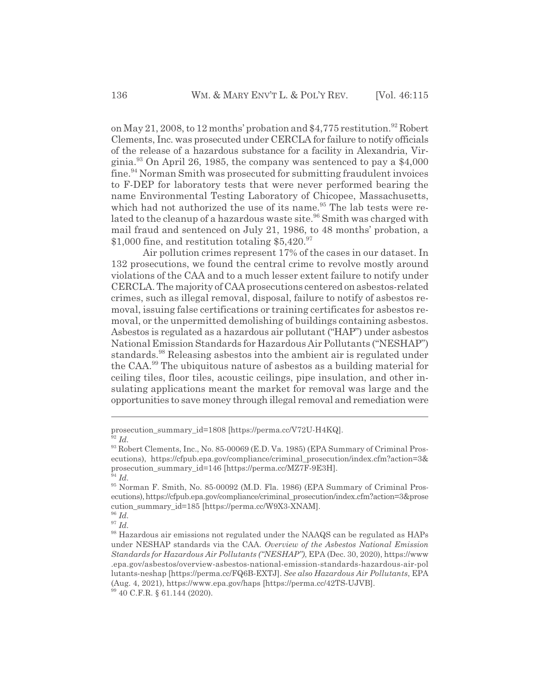on May 21, 2008, to 12 months' probation and \$4,775 restitution.<sup>92</sup> Robert Clements, Inc. was prosecuted under CERCLA for failure to notify officials of the release of a hazardous substance for a facility in Alexandria, Virginia.<sup>93</sup> On April 26, 1985, the company was sentenced to pay a  $$4,000$ fine.<sup>94</sup> Norman Smith was prosecuted for submitting fraudulent invoices to F-DEP for laboratory tests that were never performed bearing the name Environmental Testing Laboratory of Chicopee, Massachusetts, which had not authorized the use of its name.<sup>95</sup> The lab tests were related to the cleanup of a hazardous waste site.<sup>96</sup> Smith was charged with mail fraud and sentenced on July 21, 1986, to 48 months' probation, a \$1,000 fine, and restitution totaling  $$5,420.<sup>97</sup>$ 

Air pollution crimes represent 17% of the cases in our dataset. In 132 prosecutions, we found the central crime to revolve mostly around violations of the CAA and to a much lesser extent failure to notify under CERCLA. The majority of CAA prosecutions centered on asbestos-related crimes, such as illegal removal, disposal, failure to notify of asbestos removal, issuing false certifications or training certificates for asbestos removal, or the unpermitted demolishing of buildings containing asbestos. Asbestos is regulated as a hazardous air pollutant ("HAP") under asbestos National Emission Standards for Hazardous Air Pollutants ("NESHAP") standards.<sup>98</sup> Releasing asbestos into the ambient air is regulated under the CAA.99 The ubiquitous nature of asbestos as a building material for ceiling tiles, floor tiles, acoustic ceilings, pipe insulation, and other insulating applications meant the market for removal was large and the opportunities to save money through illegal removal and remediation were

prosecution\_summary\_id=1808 [https://perma.cc/V72U-H4KQ].  $^2$  *Id.* 

<sup>93</sup> Robert Clements, Inc., No. 85-00069 (E.D. Va. 1985) (EPA Summary of Criminal Prosecutions), https://cfpub.epa.gov/compliance/criminal\_prosecution/index.cfm?action=3& prosecution\_summary\_id=146 [https://perma.cc/MZ7F-9E3H].

<sup>94</sup> *Id.*

<sup>95</sup> Norman F. Smith, No. 85-00092 (M.D. Fla. 1986) (EPA Summary of Criminal Prosecutions), https://cfpub.epa.gov/compliance/criminal\_prosecution/index.cfm?action=3&prose cution\_summary\_id=185 [https://perma.cc/W9X3-XNAM].

<sup>97</sup> *Id.*

<sup>&</sup>lt;sup>98</sup> Hazardous air emissions not regulated under the NAAQS can be regulated as HAPs under NESHAP standards via the CAA. *Overview of the Asbestos National Emission Standards for Hazardous Air Pollutants ("NESHAP")*, EPA (Dec. 30, 2020), https://www .epa.gov/asbestos/overview-asbestos-national-emission-standards-hazardous-air-pol lutants-neshap [https://perma.cc/FQ6B-EXTJ]. *See also Hazardous Air Pollutants*, EPA (Aug. 4, 2021), https://www.epa.gov/haps [https://perma.cc/42TS-UJVB]. 99 40 C.F.R. § 61.144 (2020).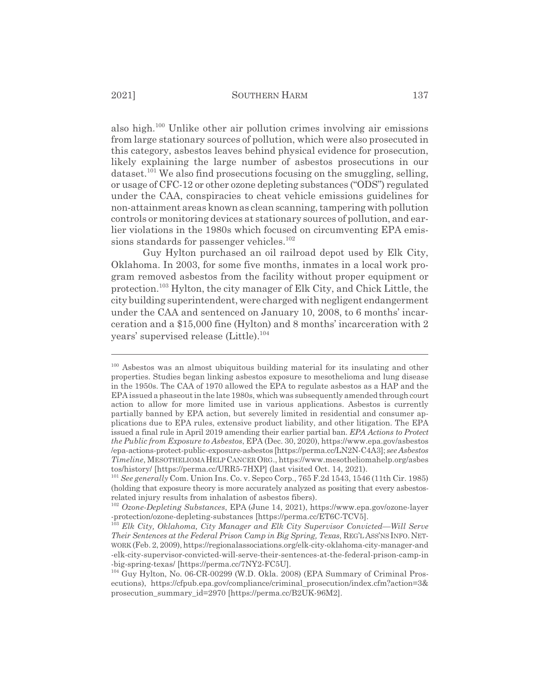also high.100 Unlike other air pollution crimes involving air emissions from large stationary sources of pollution, which were also prosecuted in this category, asbestos leaves behind physical evidence for prosecution, likely explaining the large number of asbestos prosecutions in our dataset.<sup>101</sup> We also find prosecutions focusing on the smuggling, selling, or usage of CFC-12 or other ozone depleting substances ("ODS") regulated under the CAA, conspiracies to cheat vehicle emissions guidelines for non-attainment areas known as clean scanning, tampering with pollution controls or monitoring devices at stationary sources of pollution, and earlier violations in the 1980s which focused on circumventing EPA emissions standards for passenger vehicles.<sup>102</sup>

Guy Hylton purchased an oil railroad depot used by Elk City, Oklahoma. In 2003, for some five months, inmates in a local work program removed asbestos from the facility without proper equipment or protection.103 Hylton, the city manager of Elk City, and Chick Little, the city building superintendent, were charged with negligent endangerment under the CAA and sentenced on January 10, 2008, to 6 months' incarceration and a \$15,000 fine (Hylton) and 8 months' incarceration with 2 years' supervised release (Little).<sup>104</sup>

<sup>100</sup> Asbestos was an almost ubiquitous building material for its insulating and other properties. Studies began linking asbestos exposure to mesothelioma and lung disease in the 1950s. The CAA of 1970 allowed the EPA to regulate asbestos as a HAP and the EPA issued a phaseout in the late 1980s, which was subsequently amended through court action to allow for more limited use in various applications. Asbestos is currently partially banned by EPA action, but severely limited in residential and consumer applications due to EPA rules, extensive product liability, and other litigation. The EPA issued a final rule in April 2019 amending their earlier partial ban. *EPA Actions to Protect the Public from Exposure to Asbestos*, EPA (Dec. 30, 2020), https://www.epa.gov/asbestos /epa-actions-protect-public-exposure-asbestos [https://perma.cc/LN2N-C4A3]; *see Asbestos Timeline*, MESOTHELIOMA HELPCANCERORG., https://www.mesotheliomahelp.org/asbes tos/history/ [https://perma.cc/URR5-7HXP] (last visited Oct. 14, 2021).

<sup>101</sup> *See generally* Com. Union Ins. Co. v. Sepco Corp., 765 F.2d 1543, 1546 (11th Cir. 1985) (holding that exposure theory is more accurately analyzed as positing that every asbestosrelated injury results from inhalation of asbestos fibers).

<sup>102</sup> *Ozone-Depleting Substances*, EPA (June 14, 2021), https://www.epa.gov/ozone-layer -protection/ozone-depleting-substances [https://perma.cc/ET6C-TCV5].

<sup>103</sup> *Elk City, Oklahoma, City Manager and Elk City Supervisor Convicted—Will Serve Their Sentences at the Federal Prison Camp in Big Spring, Texas*, REG'L ASS'NS INFO. NET-WORK (Feb. 2, 2009), https://regionalassociations.org/elk-city-oklahoma-city-manager-and -elk-city-supervisor-convicted-will-serve-their-sentences-at-the-federal-prison-camp-in -big-spring-texas/ [https://perma.cc/7NY2-FC5U].

<sup>104</sup> Guy Hylton, No. 06-CR-00299 (W.D. Okla. 2008) (EPA Summary of Criminal Prosecutions), https://cfpub.epa.gov/compliance/criminal\_prosecution/index.cfm?action=3& prosecution\_summary\_id=2970 [https://perma.cc/B2UK-96M2].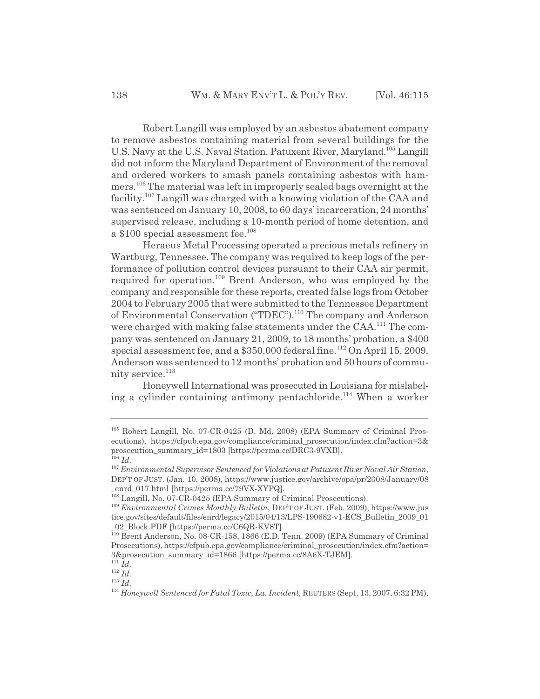Robert Langill was employed by an asbestos abatement company to remove asbestos containing material from several buildings for the U.S. Navy at the U.S. Naval Station, Patuxent River, Maryland.105 Langill did not inform the Maryland Department of Environment of the removal and ordered workers to smash panels containing asbestos with hammers.106 The material was left in improperly sealed bags overnight at the facility.107 Langill was charged with a knowing violation of the CAA and was sentenced on January 10, 2008, to 60 days' incarceration, 24 months' supervised release, including a 10-month period of home detention, and a \$100 special assessment fee.<sup>108</sup>

Heraeus Metal Processing operated a precious metals refinery in Wartburg, Tennessee. The company was required to keep logs of the performance of pollution control devices pursuant to their CAA air permit, required for operation.109 Brent Anderson, who was employed by the company and responsible for these reports, created false logs from October 2004 to February 2005 that were submitted to the Tennessee Department of Environmental Conservation ("TDEC").110 The company and Anderson were charged with making false statements under the CAA.<sup>111</sup> The company was sentenced on January 21, 2009, to 18 months' probation, a \$400 special assessment fee, and a  $$350,000$  federal fine.<sup>112</sup> On April 15, 2009, Anderson was sentenced to 12 months' probation and 50 hours of community service.<sup>113</sup>

Honeywell International was prosecuted in Louisiana for mislabeling a cylinder containing antimony pentachloride.<sup>114</sup> When a worker

<sup>105</sup> Robert Langill, No. 07-CR-0425 (D. Md. 2008) (EPA Summary of Criminal Prosecutions), https://cfpub.epa.gov/compliance/criminal\_prosecution/index.cfm?action=3& prosecution\_summary\_id=1803 [https://perma.cc/DRC3-9VXB]. <sup>106</sup> *Id.*

<sup>107</sup> *Environmental Supervisor Sentenced for Violations at Patuxent River Naval Air Station*, DEP'T OF JUST. (Jan. 10, 2008), https://www.justice.gov/archive/opa/pr/2008/January/08 enrd\_017.html [https://perma.cc/79VX-XYPQ].

<sup>&</sup>lt;sup>108</sup> Langill, No. 07-CR-0425 (EPA Summary of Criminal Prosecutions).

<sup>109</sup> *Environmental Crimes Monthly Bulletin*, DEP'T OF JUST. (Feb. 2009), https://www.jus tice.gov/sites/default/files/enrd/legacy/2015/04/13/LPS-190682-v1-ECS\_Bulletin\_2009\_01 \_02\_Block.PDF [https://perma.cc/C6QR-KV8T].

<sup>110</sup> Brent Anderson, No. 08-CR-158, 1866 (E.D. Tenn. 2009) (EPA Summary of Criminal Prosecutions), https://cfpub.epa.gov/compliance/criminal\_prosecution/index.cfm?action= 3&prosecution\_summary\_id=1866 [https://perma.cc/8A6X-TJEM].

<sup>111</sup> *Id.*

<sup>112</sup> *Id.* <sup>113</sup> *Id.*

<sup>114</sup> *Honeywell Sentenced for Fatal Toxic, La. Incident*, REUTERS (Sept. 13, 2007, 6:32 PM),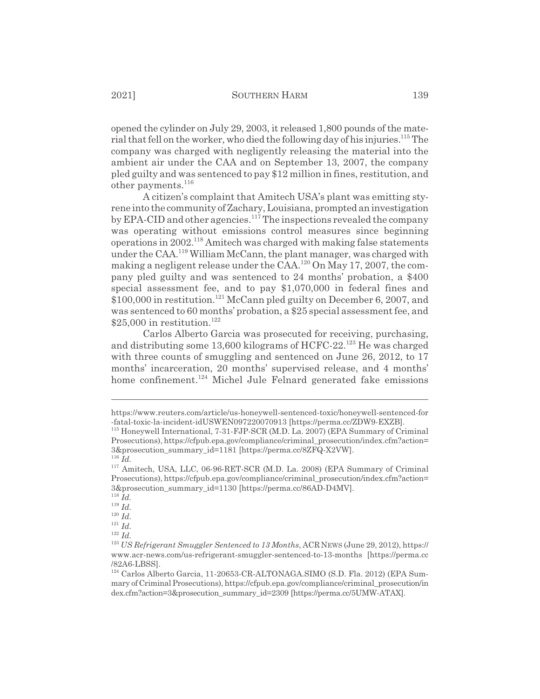opened the cylinder on July 29, 2003, it released 1,800 pounds of the material that fell on the worker, who died the following day of his injuries.<sup>115</sup> The company was charged with negligently releasing the material into the ambient air under the CAA and on September 13, 2007, the company pled guilty and was sentenced to pay \$12 million in fines, restitution, and other payments.<sup>116</sup>

A citizen's complaint that Amitech USA's plant was emitting styrene into the community of Zachary, Louisiana, prompted an investigation by EPA-CID and other agencies.<sup>117</sup> The inspections revealed the company was operating without emissions control measures since beginning operations in  $2002$ <sup>118</sup> Amitech was charged with making false statements under the CAA.<sup>119</sup> William McCann, the plant manager, was charged with making a negligent release under the  $\text{CAA}.^{120}\text{On May }17,2007$ , the company pled guilty and was sentenced to 24 months' probation, a \$400 special assessment fee, and to pay \$1,070,000 in federal fines and  $$100,000$  in restitution.<sup>121</sup> McCann pled guilty on December 6, 2007, and was sentenced to 60 months' probation, a \$25 special assessment fee, and  $$25,000$  in restitution.<sup>122</sup>

Carlos Alberto Garcia was prosecuted for receiving, purchasing, and distributing some 13,600 kilograms of HCFC-22.<sup>123</sup> He was charged with three counts of smuggling and sentenced on June 26, 2012, to 17 months' incarceration, 20 months' supervised release, and 4 months' home confinement.<sup>124</sup> Michel Jule Felnard generated fake emissions

<sup>118</sup> *Id.*

<sup>119</sup> *Id.*

<sup>120</sup> *Id.*

https://www.reuters.com/article/us-honeywell-sentenced-toxic/honeywell-sentenced-for -fatal-toxic-la-incident-idUSWEN097220070913 [https://perma.cc/ZDW9-EXZB].

<sup>115</sup> Honeywell International, 7-31-FJP-SCR (M.D. La. 2007) (EPA Summary of Criminal Prosecutions), https://cfpub.epa.gov/compliance/criminal\_prosecution/index.cfm?action= 3&prosecution\_summary\_id=1181 [https://perma.cc/8ZFQ-X2VW].

<sup>116</sup> *Id.*

<sup>117</sup> Amitech, USA, LLC, 06-96-RET-SCR (M.D. La. 2008) (EPA Summary of Criminal Prosecutions), https://cfpub.epa.gov/compliance/criminal\_prosecution/index.cfm?action= 3&prosecution\_summary\_id=1130 [https://perma.cc/86AD-D4MV].

<sup>121</sup> *Id.*

<sup>&</sup>lt;sup>123</sup> *US Refrigerant Smuggler Sentenced to 13 Months*, ACR NEWS (June 29, 2012), https:// www.acr-news.com/us-refrigerant-smuggler-sentenced-to-13-months [https://perma.cc /82A6-LBSS].

<sup>124</sup> Carlos Alberto Garcia, 11-20653-CR-ALTONAGA.SIMO (S.D. Fla. 2012) (EPA Summary of Criminal Prosecutions), https://cfpub.epa.gov/compliance/criminal\_prosecution/in dex.cfm?action=3&prosecution\_summary\_id=2309 [https://perma.cc/5UMW-ATAX].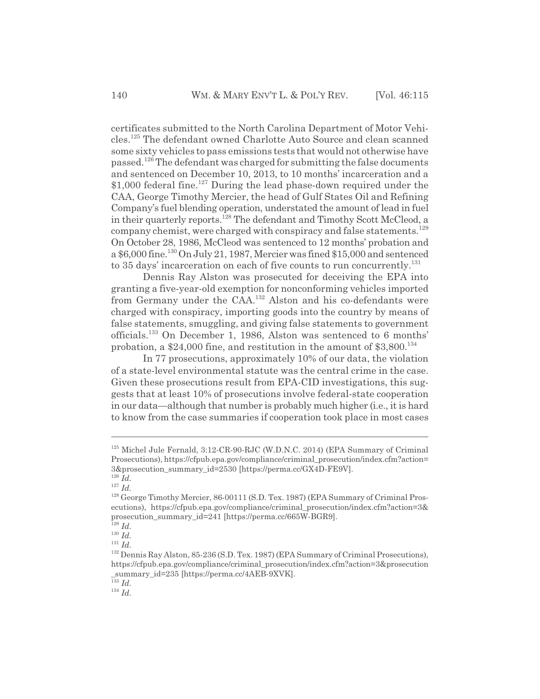certificates submitted to the North Carolina Department of Motor Vehicles.125 The defendant owned Charlotte Auto Source and clean scanned some sixty vehicles to pass emissions tests that would not otherwise have passed.<sup>126</sup> The defendant was charged for submitting the false documents and sentenced on December 10, 2013, to 10 months' incarceration and a \$1,000 federal fine.<sup>127</sup> During the lead phase-down required under the CAA, George Timothy Mercier, the head of Gulf States Oil and Refining Company's fuel blending operation, understated the amount of lead in fuel in their quarterly reports.128 The defendant and Timothy Scott McCleod, a company chemist, were charged with conspiracy and false statements.<sup>129</sup> On October 28, 1986, McCleod was sentenced to 12 months' probation and a \$6,000 fine.130 On July 21, 1987, Mercier was fined \$15,000 and sentenced to 35 days' incarceration on each of five counts to run concurrently.<sup>131</sup>

Dennis Ray Alston was prosecuted for deceiving the EPA into granting a five-year-old exemption for nonconforming vehicles imported from Germany under the CAA.<sup>132</sup> Alston and his co-defendants were charged with conspiracy, importing goods into the country by means of false statements, smuggling, and giving false statements to government officials.133 On December 1, 1986, Alston was sentenced to 6 months' probation, a  $$24,000$  fine, and restitution in the amount of  $$3,800$ <sup>134</sup>

In 77 prosecutions, approximately 10% of our data, the violation of a state-level environmental statute was the central crime in the case. Given these prosecutions result from EPA-CID investigations, this suggests that at least 10% of prosecutions involve federal-state cooperation in our data—although that number is probably much higher (i.e., it is hard to know from the case summaries if cooperation took place in most cases

<sup>127</sup> *Id.*

<sup>133</sup> *Id.*

 $125$  Michel Jule Fernald,  $3:12$ -CR-90-RJC (W.D.N.C. 2014) (EPA Summary of Criminal Prosecutions), https://cfpub.epa.gov/compliance/criminal\_prosecution/index.cfm?action= 3&prosecution\_summary\_id=2530 [https://perma.cc/GX4D-FE9V]. <sup>126</sup> *Id.*

<sup>&</sup>lt;sup>128</sup> George Timothy Mercier, 86-00111 (S.D. Tex. 1987) (EPA Summary of Criminal Prosecutions), https://cfpub.epa.gov/compliance/criminal\_prosecution/index.cfm?action=3& prosecution\_summary\_id=241 [https://perma.cc/665W-BGR9].

 $\frac{1}{129}$  *Id.* 

<sup>130</sup> *Id.* <sup>131</sup> *Id.*

<sup>132</sup> Dennis Ray Alston, 85-236 (S.D. Tex. 1987) (EPA Summary of Criminal Prosecutions), https://cfpub.epa.gov/compliance/criminal\_prosecution/index.cfm?action=3&prosecution \_summary\_id=235 [https://perma.cc/4AEB-9XVK].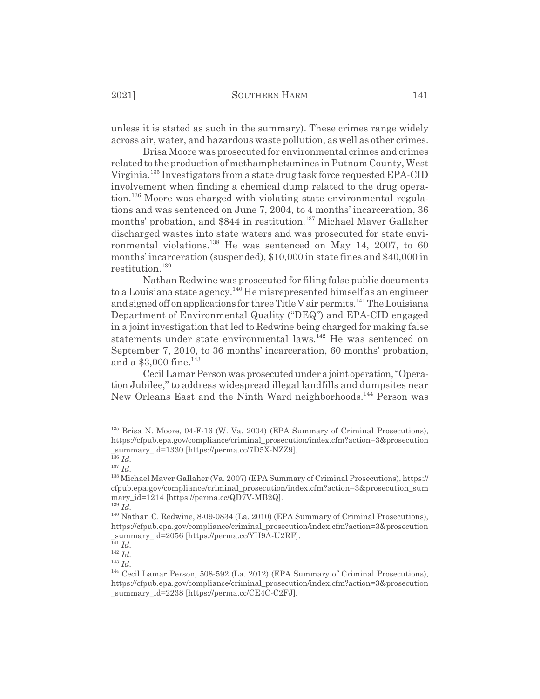unless it is stated as such in the summary). These crimes range widely across air, water, and hazardous waste pollution, as well as other crimes.

Brisa Moore was prosecuted for environmental crimes and crimes related to the production of methamphetamines in Putnam County, West Virginia.135 Investigators from a state drug task force requested EPA-CID involvement when finding a chemical dump related to the drug operation.<sup>136</sup> Moore was charged with violating state environmental regulations and was sentenced on June 7, 2004, to 4 months' incarceration, 36 months' probation, and \$844 in restitution.<sup>137</sup> Michael Maver Gallaher discharged wastes into state waters and was prosecuted for state environmental violations.<sup>138</sup> He was sentenced on May 14, 2007, to 60 months' incarceration (suspended), \$10,000 in state fines and \$40,000 in restitution.<sup>139</sup>

Nathan Redwine was prosecuted for filing false public documents to a Louisiana state agency.<sup>140</sup> He misrepresented himself as an engineer and signed off on applications for three Title V air permits.<sup>141</sup> The Louisiana Department of Environmental Quality ("DEQ") and EPA-CID engaged in a joint investigation that led to Redwine being charged for making false statements under state environmental laws.<sup>142</sup> He was sentenced on September 7, 2010, to 36 months' incarceration, 60 months' probation, and a  $$3,000$  fine.<sup>143</sup>

Cecil Lamar Person was prosecuted under a joint operation, "Operation Jubilee," to address widespread illegal landfills and dumpsites near New Orleans East and the Ninth Ward neighborhoods.144 Person was

<sup>135</sup> Brisa N. Moore, 04-F-16 (W. Va. 2004) (EPA Summary of Criminal Prosecutions), https://cfpub.epa.gov/compliance/criminal\_prosecution/index.cfm?action=3&prosecution \_summary\_id=1330 [https://perma.cc/7D5X-NZZ9].

<sup>136</sup> *Id.*

<sup>137</sup> *Id.*

<sup>138</sup> Michael Maver Gallaher (Va. 2007) (EPA Summary of Criminal Prosecutions), https:// cfpub.epa.gov/compliance/criminal\_prosecution/index.cfm?action=3&prosecution\_sum mary\_id=1214 [https://perma.cc/QD7V-MB2Q].

<sup>139</sup> *Id.*

<sup>140</sup> Nathan C. Redwine, 8-09-0834 (La. 2010) (EPA Summary of Criminal Prosecutions), https://cfpub.epa.gov/compliance/criminal\_prosecution/index.cfm?action=3&prosecution summary id=2056 [https://perma.cc/YH9A-U2RF].

 $\overline{141}$  *Id.* 

 $^{142}$  *Id.* 

<sup>144</sup> Cecil Lamar Person, 508-592 (La. 2012) (EPA Summary of Criminal Prosecutions), https://cfpub.epa.gov/compliance/criminal\_prosecution/index.cfm?action=3&prosecution \_summary\_id=2238 [https://perma.cc/CE4C-C2FJ].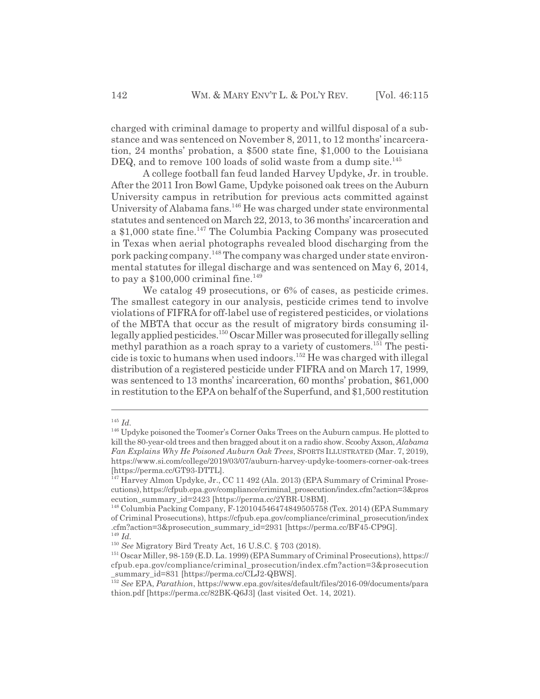charged with criminal damage to property and willful disposal of a substance and was sentenced on November 8, 2011, to 12 months' incarceration, 24 months' probation, a \$500 state fine, \$1,000 to the Louisiana DEQ, and to remove 100 loads of solid waste from a dump site.<sup>145</sup>

A college football fan feud landed Harvey Updyke, Jr. in trouble. After the 2011 Iron Bowl Game, Updyke poisoned oak trees on the Auburn University campus in retribution for previous acts committed against University of Alabama fans.<sup>146</sup> He was charged under state environmental statutes and sentenced on March 22, 2013, to 36 months' incarceration and a \$1,000 state fine.<sup>147</sup> The Columbia Packing Company was prosecuted in Texas when aerial photographs revealed blood discharging from the pork packing company.148 The company was charged under state environmental statutes for illegal discharge and was sentenced on May 6, 2014, to pay a  $$100,000$  criminal fine.<sup>149</sup>

We catalog 49 prosecutions, or  $6\%$  of cases, as pesticide crimes. The smallest category in our analysis, pesticide crimes tend to involve violations of FIFRA for off-label use of registered pesticides, or violations of the MBTA that occur as the result of migratory birds consuming illegally applied pesticides.150 Oscar Miller was prosecuted for illegally selling methyl parathion as a roach spray to a variety of customers.<sup>151</sup> The pesticide is toxic to humans when used indoors.152 He was charged with illegal distribution of a registered pesticide under FIFRA and on March 17, 1999, was sentenced to 13 months' incarceration, 60 months' probation, \$61,000 in restitution to the EPA on behalf of the Superfund, and \$1,500 restitution

<sup>145</sup> *Id.*

<sup>&</sup>lt;sup>146</sup> Updyke poisoned the Toomer's Corner Oaks Trees on the Auburn campus. He plotted to kill the 80-year-old trees and then bragged about it on a radio show. Scooby Axson, *Alabama Fan Explains Why He Poisoned Auburn Oak Trees*, SPORTS ILLUSTRATED (Mar. 7, 2019), https://www.si.com/college/2019/03/07/auburn-harvey-updyke-toomers-corner-oak-trees [https://perma.cc/GT93-DTTL].

<sup>&</sup>lt;sup>147</sup> Harvey Almon Updyke, Jr., CC 11 492 (Ala. 2013) (EPA Summary of Criminal Prosecutions), https://cfpub.epa.gov/compliance/criminal\_prosecution/index.cfm?action=3&pros ecution\_summary\_id=2423 [https://perma.cc/2YBR-U8BM].

<sup>148</sup> Columbia Packing Company, F-120104546474849505758 (Tex. 2014) (EPA Summary of Criminal Prosecutions), https://cfpub.epa.gov/compliance/criminal\_prosecution/index .cfm?action=3&prosecution\_summary\_id=2931 [https://perma.cc/BF45-CP9G]. <sup>149</sup> *Id.*

<sup>150</sup> *See* Migratory Bird Treaty Act, 16 U.S.C. § 703 (2018).

<sup>151</sup> Oscar Miller, 98-159 (E.D. La. 1999) (EPA Summary of Criminal Prosecutions), https:// cfpub.epa.gov/compliance/criminal\_prosecution/index.cfm?action=3&prosecution \_summary\_id=831 [https://perma.cc/CLJ2-QBWS].

<sup>152</sup> *See* EPA, *Parathion*, https://www.epa.gov/sites/default/files/2016-09/documents/para thion.pdf [https://perma.cc/82BK-Q6J3] (last visited Oct. 14, 2021).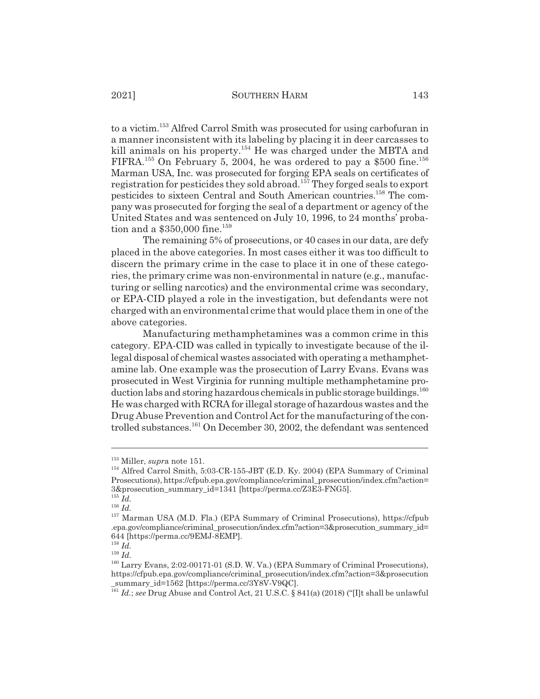to a victim.153 Alfred Carrol Smith was prosecuted for using carbofuran in a manner inconsistent with its labeling by placing it in deer carcasses to kill animals on his property.<sup>154</sup> He was charged under the MBTA and FIFRA.<sup>155</sup> On February 5, 2004, he was ordered to pay a \$500 fine.<sup>156</sup> Marman USA, Inc. was prosecuted for forging EPA seals on certificates of registration for pesticides they sold abroad.<sup>157</sup> They forged seals to export pesticides to sixteen Central and South American countries.158 The company was prosecuted for forging the seal of a department or agency of the United States and was sentenced on July 10, 1996, to 24 months' probation and a  $$350,000$  fine.<sup>159</sup>

The remaining 5% of prosecutions, or 40 cases in our data, are defy placed in the above categories. In most cases either it was too difficult to discern the primary crime in the case to place it in one of these categories, the primary crime was non-environmental in nature (e.g., manufacturing or selling narcotics) and the environmental crime was secondary, or EPA-CID played a role in the investigation, but defendants were not charged with an environmental crime that would place them in one of the above categories.

Manufacturing methamphetamines was a common crime in this category. EPA-CID was called in typically to investigate because of the illegal disposal of chemical wastes associated with operating a methamphetamine lab. One example was the prosecution of Larry Evans. Evans was prosecuted in West Virginia for running multiple methamphetamine production labs and storing hazardous chemicals in public storage buildings.<sup>160</sup> He was charged with RCRA for illegal storage of hazardous wastes and the Drug Abuse Prevention and Control Act for the manufacturing of the controlled substances.<sup>161</sup> On December 30, 2002, the defendant was sentenced

<sup>153</sup> Miller, *supr*a note 151.

<sup>&</sup>lt;sup>154</sup> Alfred Carrol Smith, 5:03-CR-155-JBT (E.D. Ky. 2004) (EPA Summary of Criminal Prosecutions), https://cfpub.epa.gov/compliance/criminal\_prosecution/index.cfm?action= 3&prosecution\_summary\_id=1341 [https://perma.cc/Z3E3-FNG5].

<sup>155</sup> *Id.*  $\overline{1}$   $\overline{1}d.$ 

<sup>157</sup> Marman USA (M.D. Fla.) (EPA Summary of Criminal Prosecutions), https://cfpub .epa.gov/compliance/criminal\_prosecution/index.cfm?action=3&prosecution\_summary\_id= 644 [https://perma.cc/9EMJ-8EMP].

<sup>158</sup> *Id.*

<sup>160</sup> Larry Evans, 2:02-00171-01 (S.D. W. Va.) (EPA Summary of Criminal Prosecutions), https://cfpub.epa.gov/compliance/criminal\_prosecution/index.cfm?action=3&prosecution \_summary\_id=1562 [https://perma.cc/3Y8V-V9QC].

<sup>&</sup>lt;sup>161</sup> *Id.*; see Drug Abuse and Control Act, 21 U.S.C. § 841(a) (2018) ("[I]t shall be unlawful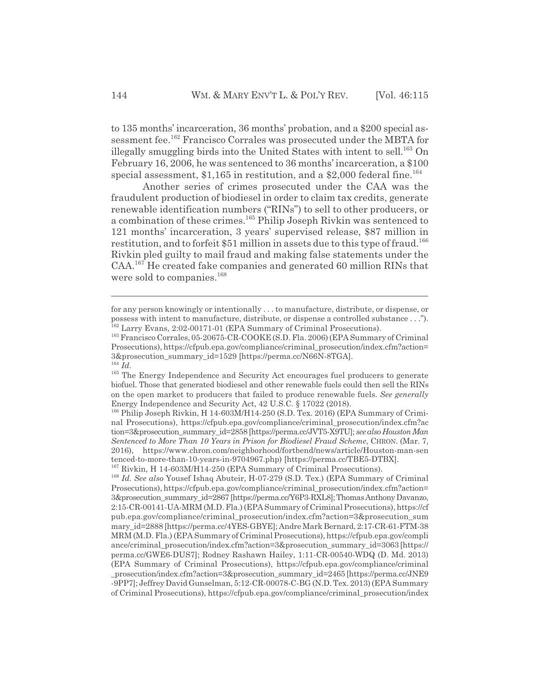to 135 months' incarceration, 36 months' probation, and a \$200 special assessment fee.<sup>162</sup> Francisco Corrales was prosecuted under the MBTA for illegally smuggling birds into the United States with intent to sell.<sup>163</sup> On February 16, 2006, he was sentenced to 36 months' incarceration, a \$100 special assessment,  $$1,165$  in restitution, and a  $$2,000$  federal fine.<sup>164</sup>

Another series of crimes prosecuted under the CAA was the fraudulent production of biodiesel in order to claim tax credits, generate renewable identification numbers ("RINs") to sell to other producers, or a combination of these crimes.165 Philip Joseph Rivkin was sentenced to 121 months' incarceration, 3 years' supervised release, \$87 million in restitution, and to forfeit \$51 million in assets due to this type of fraud.<sup>166</sup> Rivkin pled guilty to mail fraud and making false statements under the CAA.167 He created fake companies and generated 60 million RINs that were sold to companies.<sup>168</sup>

for any person knowingly or intentionally . . . to manufacture, distribute, or dispense, or possess with intent to manufacture, distribute, or dispense a controlled substance . . ."). <sup>162</sup> Larry Evans, 2:02-00171-01 (EPA Summary of Criminal Prosecutions).

<sup>163</sup> Francisco Corrales, 05-20675-CR-COOKE (S.D. Fla. 2006) (EPA Summary of Criminal Prosecutions), https://cfpub.epa.gov/compliance/criminal\_prosecution/index.cfm?action= 3&prosecution\_summary\_id=1529 [https://perma.cc/N66N-8TGA].

<sup>164</sup> *Id.*

<sup>&</sup>lt;sup>165</sup> The Energy Independence and Security Act encourages fuel producers to generate biofuel. Those that generated biodiesel and other renewable fuels could then sell the RINs on the open market to producers that failed to produce renewable fuels. *See generally* Energy Independence and Security Act, 42 U.S.C. § 17022 (2018).

<sup>166</sup> Philip Joseph Rivkin, H 14-603M/H14-250 (S.D. Tex. 2016) (EPA Summary of Criminal Prosecutions), https://cfpub.epa.gov/compliance/criminal\_prosecution/index.cfm?ac tion=3&prosecution\_summary\_id=2858 [https://perma.cc/JVT5-X9TU]; *see also Houston Man Sentenced to More Than 10 Years in Prison for Biodiesel Fraud Scheme*, CHRON. (Mar. 7, 2016), https://www.chron.com/neighborhood/fortbend/news/article/Houston-man-sen tenced-to-more-than-10-years-in-9704967.php) [https://perma.cc/TBE5-DTBX].

<sup>167</sup> Rivkin, H 14-603M/H14-250 (EPA Summary of Criminal Prosecutions).

<sup>168</sup> *Id. See also* Yousef Ishaq Abuteir, H-07-279 (S.D. Tex.) (EPA Summary of Criminal Prosecutions), https://cfpub.epa.gov/compliance/criminal\_prosecution/index.cfm?action= 3&prosecution\_summary\_id=2867 [https://perma.cc/Y6P3-RXL8]; Thomas Anthony Davanzo, 2:15-CR-00141-UA-MRM (M.D. Fla.) (EPA Summary of Criminal Prosecutions), https://cf pub.epa.gov/compliance/criminal\_prosecution/index.cfm?action=3&prosecution\_sum mary\_id=2888 [https://perma.cc/4YES-GBYE]; Andre Mark Bernard, 2:17-CR-61-FTM-38 MRM (M.D. Fla.) (EPA Summary of Criminal Prosecutions), https://cfpub.epa.gov/compli ance/criminal\_prosecution/index.cfm?action=3&prosecution\_summary\_id=3063 [https:// perma.cc/GWE6-DUS7]; Rodney Rashawn Hailey, 1:11-CR-00540-WDQ (D. Md. 2013) (EPA Summary of Criminal Prosecutions), https://cfpub.epa.gov/compliance/criminal \_prosecution/index.cfm?action=3&prosecution\_summary\_id=2465 [https://perma.cc/JNE9 -9PP7]; Jeffrey David Gunselman, 5:12-CR-00078-C-BG (N.D. Tex. 2013) (EPA Summary of Criminal Prosecutions), https://cfpub.epa.gov/compliance/criminal\_prosecution/index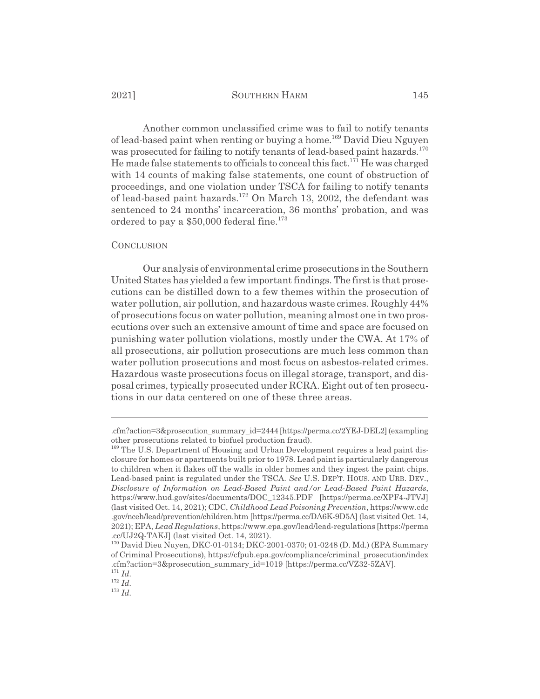Another common unclassified crime was to fail to notify tenants of lead-based paint when renting or buying a home.<sup>169</sup> David Dieu Nguyen was prosecuted for failing to notify tenants of lead-based paint hazards.<sup>170</sup> He made false statements to officials to conceal this fact.<sup>171</sup> He was charged with 14 counts of making false statements, one count of obstruction of proceedings, and one violation under TSCA for failing to notify tenants of lead-based paint hazards.172 On March 13, 2002, the defendant was sentenced to 24 months' incarceration, 36 months' probation, and was ordered to pay a  $$50,000$  federal fine.<sup>173</sup>

#### **CONCLUSION**

Our analysis of environmental crime prosecutions in the Southern United States has yielded a few important findings. The first is that prosecutions can be distilled down to a few themes within the prosecution of water pollution, air pollution, and hazardous waste crimes. Roughly 44% of prosecutions focus on water pollution, meaning almost one in two prosecutions over such an extensive amount of time and space are focused on punishing water pollution violations, mostly under the CWA. At 17% of all prosecutions, air pollution prosecutions are much less common than water pollution prosecutions and most focus on asbestos-related crimes. Hazardous waste prosecutions focus on illegal storage, transport, and disposal crimes, typically prosecuted under RCRA. Eight out of ten prosecutions in our data centered on one of these three areas.

<sup>.</sup>cfm?action=3&prosecution\_summary\_id=2444 [https://perma.cc/2YEJ-DEL2] (exampling other prosecutions related to biofuel production fraud).

<sup>&</sup>lt;sup>169</sup> The U.S. Department of Housing and Urban Development requires a lead paint disclosure for homes or apartments built prior to 1978. Lead paint is particularly dangerous to children when it flakes off the walls in older homes and they ingest the paint chips. Lead-based paint is regulated under the TSCA. *See* U.S. DEP'T. HOUS. AND URB. DEV., *Disclosure of Information on Lead-Based Paint and/or Lead-Based Paint Hazards*, https://www.hud.gov/sites/documents/DOC\_12345.PDF [https://perma.cc/XPF4-JTVJ] (last visited Oct. 14, 2021); CDC, *Childhood Lead Poisoning Prevention*, https://www.cdc .gov/nceh/lead/prevention/children.htm [https://perma.cc/DA6K-9D5A] (last visited Oct. 14, 2021); EPA, *Lead Regulations*, https://www.epa.gov/lead/lead-regulations [https://perma .cc/UJ2Q-TAKJ] (last visited Oct. 14, 2021).

<sup>170</sup> David Dieu Nuyen, DKC-01-0134; DKC-2001-0370; 01-0248 (D. Md.) (EPA Summary of Criminal Prosecutions), https://cfpub.epa.gov/compliance/criminal\_prosecution/index .cfm?action=3&prosecution\_summary\_id=1019 [https://perma.cc/VZ32-5ZAV]. <sup>171</sup> *Id.*

 $172 \overline{Id}$ .

<sup>173</sup> *Id.*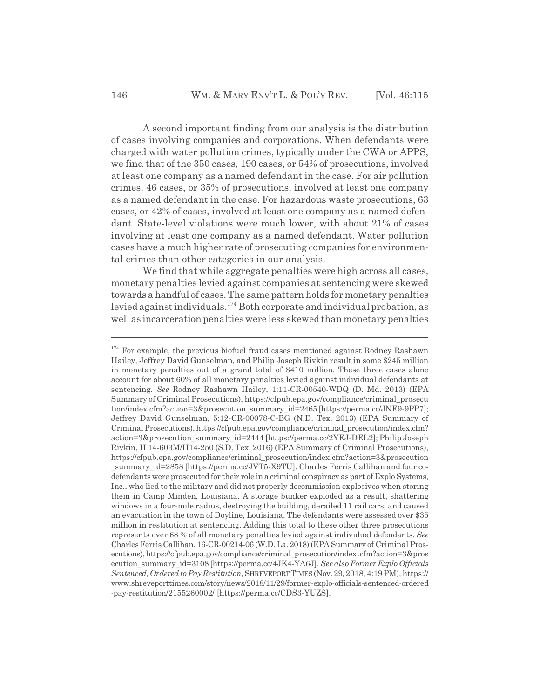A second important finding from our analysis is the distribution of cases involving companies and corporations. When defendants were charged with water pollution crimes, typically under the CWA or APPS, we find that of the 350 cases, 190 cases, or 54% of prosecutions, involved at least one company as a named defendant in the case. For air pollution crimes, 46 cases, or 35% of prosecutions, involved at least one company as a named defendant in the case. For hazardous waste prosecutions, 63 cases, or 42% of cases, involved at least one company as a named defendant. State-level violations were much lower, with about 21% of cases involving at least one company as a named defendant. Water pollution cases have a much higher rate of prosecuting companies for environmental crimes than other categories in our analysis.

We find that while aggregate penalties were high across all cases, monetary penalties levied against companies at sentencing were skewed towards a handful of cases. The same pattern holds for monetary penalties levied against individuals.174 Both corporate and individual probation, as well as incarceration penalties were less skewed than monetary penalties

<sup>&</sup>lt;sup>174</sup> For example, the previous biofuel fraud cases mentioned against Rodney Rashawn Hailey, Jeffrey David Gunselman, and Philip Joseph Rivkin result in some \$245 million in monetary penalties out of a grand total of \$410 million. These three cases alone account for about 60% of all monetary penalties levied against individual defendants at sentencing. *See* Rodney Rashawn Hailey, 1:11-CR-00540-WDQ (D. Md. 2013) (EPA Summary of Criminal Prosecutions), https://cfpub.epa.gov/compliance/criminal\_prosecu tion/index.cfm?action=3&prosecution\_summary\_id=2465 [https://perma.cc/JNE9-9PP7]; Jeffrey David Gunselman, 5:12-CR-00078-C-BG (N.D. Tex. 2013) (EPA Summary of Criminal Prosecutions), https://cfpub.epa.gov/compliance/criminal\_prosecution/index.cfm? action=3&prosecution\_summary\_id=2444 [https://perma.cc/2YEJ-DEL2]; Philip Joseph Rivkin, H 14-603M/H14-250 (S.D. Tex. 2016) (EPA Summary of Criminal Prosecutions), https://cfpub.epa.gov/compliance/criminal\_prosecution/index.cfm?action=3&prosecution \_summary\_id=2858 [https://perma.cc/JVT5-X9TU]. Charles Ferris Callihan and four codefendants were prosecuted for their role in a criminal conspiracy as part of Explo Systems, Inc., who lied to the military and did not properly decommission explosives when storing them in Camp Minden, Louisiana. A storage bunker exploded as a result, shattering windows in a four-mile radius, destroying the building, derailed 11 rail cars, and caused an evacuation in the town of Doyline, Louisiana. The defendants were assessed over \$35 million in restitution at sentencing. Adding this total to these other three prosecutions represents over 68 % of all monetary penalties levied against individual defendants. *See* Charles Ferris Callihan, 16-CR-00214-06 (W.D. La. 2018) (EPA Summary of Criminal Prosecutions), https://cfpub.epa.gov/compliance/criminal\_prosecution/index .cfm?action=3&pros ecution\_summary\_id=3108 [https://perma.cc/4JK4-YA6J]. *See also Former Explo Officials Sentenced, Ordered to Pay Restitution*, SHREVEPORTTIMES (Nov. 29, 2018, 4:19 PM), https:// www.shreveporttimes.com/story/news/2018/11/29/former-explo-officials-sentenced-ordered -pay-restitution/2155260002/ [https://perma.cc/CDS3-YUZS].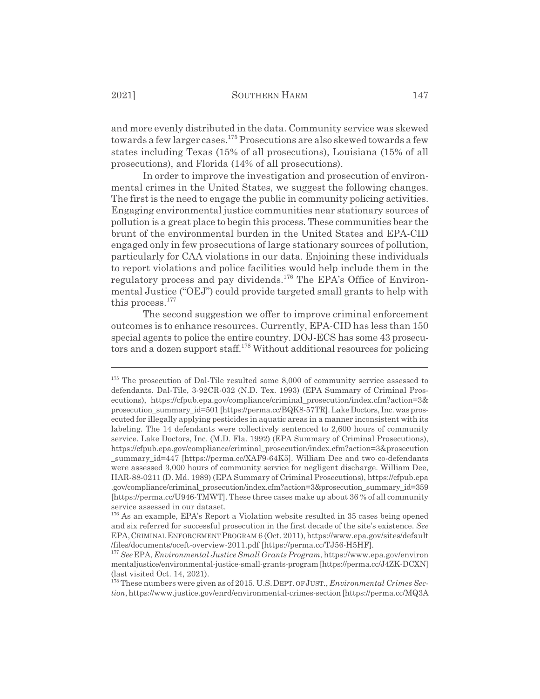and more evenly distributed in the data. Community service was skewed towards a few larger cases.175 Prosecutions are also skewed towards a few states including Texas (15% of all prosecutions), Louisiana (15% of all prosecutions), and Florida (14% of all prosecutions).

In order to improve the investigation and prosecution of environmental crimes in the United States, we suggest the following changes. The first is the need to engage the public in community policing activities. Engaging environmental justice communities near stationary sources of pollution is a great place to begin this process. These communities bear the brunt of the environmental burden in the United States and EPA-CID engaged only in few prosecutions of large stationary sources of pollution, particularly for CAA violations in our data. Enjoining these individuals to report violations and police facilities would help include them in the regulatory process and pay dividends.<sup>176</sup> The EPA's Office of Environmental Justice ("OEJ") could provide targeted small grants to help with this process.<sup>177</sup>

The second suggestion we offer to improve criminal enforcement outcomes is to enhance resources. Currently, EPA-CID has less than 150 special agents to police the entire country. DOJ-ECS has some 43 prosecutors and a dozen support staff.<sup>178</sup> Without additional resources for policing

<sup>&</sup>lt;sup>175</sup> The prosecution of Dal-Tile resulted some 8,000 of community service assessed to defendants. Dal-Tile, 3-92CR-032 (N.D. Tex. 1993) (EPA Summary of Criminal Prosecutions), https://cfpub.epa.gov/compliance/criminal\_prosecution/index.cfm?action=3& prosecution\_summary\_id=501 [https://perma.cc/BQK8-57TR]. Lake Doctors, Inc. was prosecuted for illegally applying pesticides in aquatic areas in a manner inconsistent with its labeling. The 14 defendants were collectively sentenced to 2,600 hours of community service. Lake Doctors, Inc. (M.D. Fla. 1992) (EPA Summary of Criminal Prosecutions), https://cfpub.epa.gov/compliance/criminal\_prosecution/index.cfm?action=3&prosecution summary id=447 [https://perma.cc/XAF9-64K5]. William Dee and two co-defendants were assessed 3,000 hours of community service for negligent discharge. William Dee, HAR-88-0211 (D. Md. 1989) (EPA Summary of Criminal Prosecutions), https://cfpub.epa .gov/compliance/criminal\_prosecution/index.cfm?action=3&prosecution\_summary\_id=359 [https://perma.cc/U946-TMWT]. These three cases make up about 36 % of all community service assessed in our dataset.

<sup>&</sup>lt;sup>176</sup> As an example, EPA's Report a Violation website resulted in 35 cases being opened and six referred for successful prosecution in the first decade of the site's existence. *See* EPA,CRIMINALENFORCEMENTPROGRAM 6 (Oct. 2011), https://www.epa.gov/sites/default /files/documents/oceft-overview-2011.pdf [https://perma.cc/TJ56-H5HF].

<sup>177</sup> *See*EPA, *Environmental Justice Small Grants Program*, https://www.epa.gov/environ mentaljustice/environmental-justice-small-grants-program [https://perma.cc/J4ZK-DCXN] (last visited Oct. 14, 2021).

<sup>178</sup> These numbers were given as of 2015. U.S.DEPT. OF JUST., *Environmental Crimes Section*, https://www.justice.gov/enrd/environmental-crimes-section [https://perma.cc/MQ3A